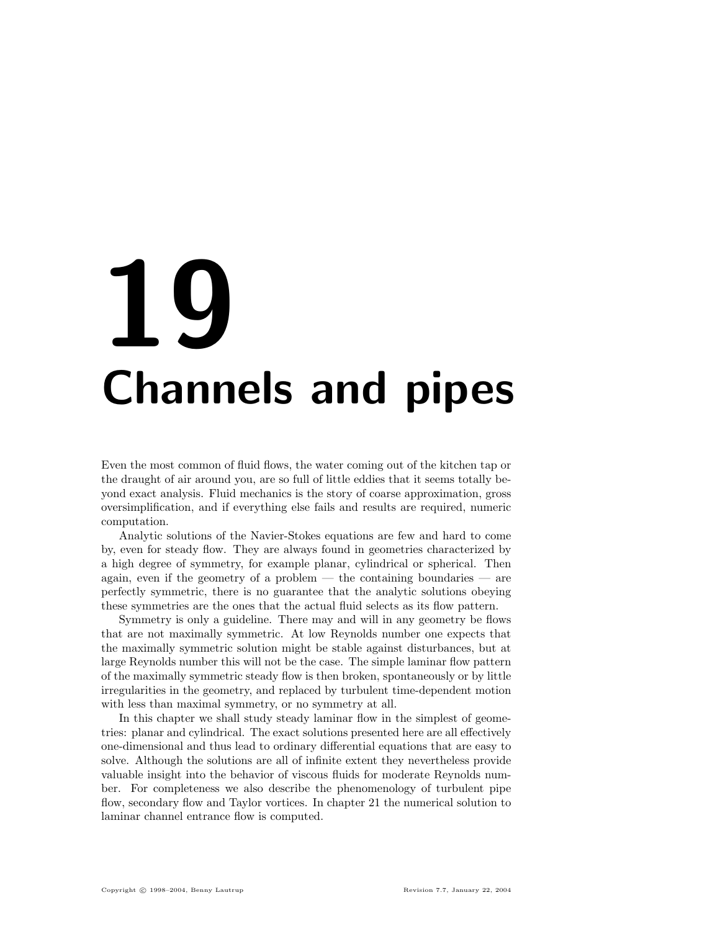# **19** Channels and pipes

Even the most common of fluid flows, the water coming out of the kitchen tap or the draught of air around you, are so full of little eddies that it seems totally beyond exact analysis. Fluid mechanics is the story of coarse approximation, gross oversimplification, and if everything else fails and results are required, numeric computation.

Analytic solutions of the Navier-Stokes equations are few and hard to come by, even for steady flow. They are always found in geometries characterized by a high degree of symmetry, for example planar, cylindrical or spherical. Then again, even if the geometry of a problem  $-$  the containing boundaries  $-$  are perfectly symmetric, there is no guarantee that the analytic solutions obeying these symmetries are the ones that the actual fluid selects as its flow pattern.

Symmetry is only a guideline. There may and will in any geometry be flows that are not maximally symmetric. At low Reynolds number one expects that the maximally symmetric solution might be stable against disturbances, but at large Reynolds number this will not be the case. The simple laminar flow pattern of the maximally symmetric steady flow is then broken, spontaneously or by little irregularities in the geometry, and replaced by turbulent time-dependent motion with less than maximal symmetry, or no symmetry at all.

In this chapter we shall study steady laminar flow in the simplest of geometries: planar and cylindrical. The exact solutions presented here are all effectively one-dimensional and thus lead to ordinary differential equations that are easy to solve. Although the solutions are all of infinite extent they nevertheless provide valuable insight into the behavior of viscous fluids for moderate Reynolds number. For completeness we also describe the phenomenology of turbulent pipe flow, secondary flow and Taylor vortices. In chapter 21 the numerical solution to laminar channel entrance flow is computed.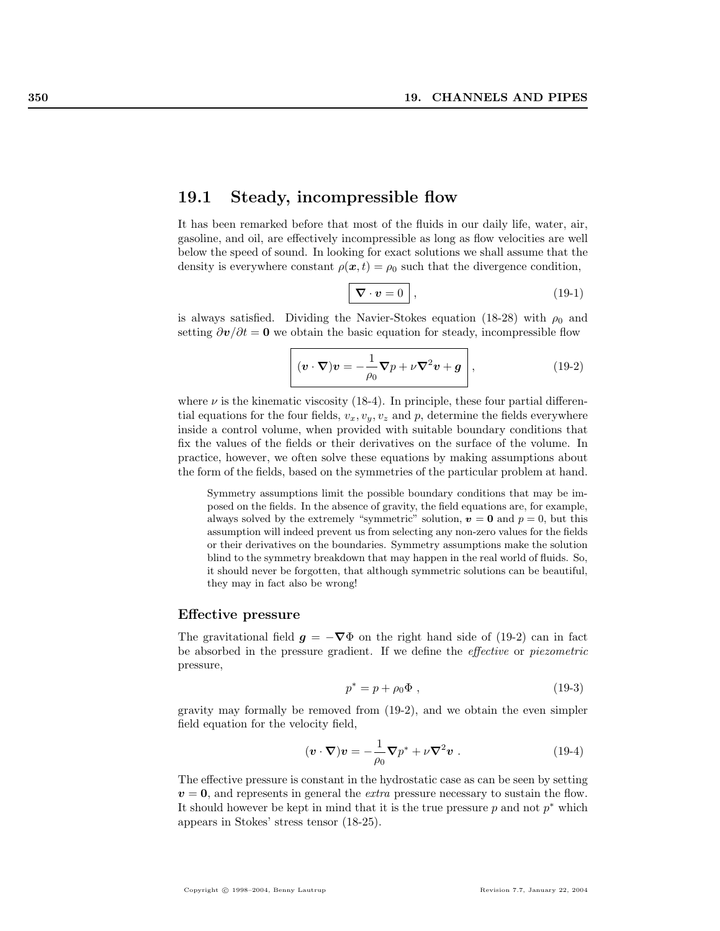# 19.1 Steady, incompressible flow

It has been remarked before that most of the fluids in our daily life, water, air, gasoline, and oil, are effectively incompressible as long as flow velocities are well below the speed of sound. In looking for exact solutions we shall assume that the density is everywhere constant  $\rho(x, t) = \rho_0$  such that the divergence condition,

$$
\overline{\nabla \cdot v} = 0 \quad , \tag{19-1}
$$

is always satisfied. Dividing the Navier-Stokes equation (18-28) with  $\rho_0$  and setting  $\partial v/\partial t = 0$  we obtain the basic equation for steady, incompressible flow

$$
\left[ (\boldsymbol{v} \cdot \boldsymbol{\nabla}) \boldsymbol{v} = -\frac{1}{\rho_0} \boldsymbol{\nabla} p + \nu \boldsymbol{\nabla}^2 \boldsymbol{v} + \boldsymbol{g} \right],
$$
 (19-2)

where  $\nu$  is the kinematic viscosity (18-4). In principle, these four partial differential equations for the four fields,  $v_x, v_y, v_z$  and p, determine the fields everywhere inside a control volume, when provided with suitable boundary conditions that fix the values of the fields or their derivatives on the surface of the volume. In practice, however, we often solve these equations by making assumptions about the form of the fields, based on the symmetries of the particular problem at hand.

Symmetry assumptions limit the possible boundary conditions that may be imposed on the fields. In the absence of gravity, the field equations are, for example, always solved by the extremely "symmetric" solution,  $v = 0$  and  $p = 0$ , but this assumption will indeed prevent us from selecting any non-zero values for the fields or their derivatives on the boundaries. Symmetry assumptions make the solution blind to the symmetry breakdown that may happen in the real world of fluids. So, it should never be forgotten, that although symmetric solutions can be beautiful, they may in fact also be wrong!

#### Effective pressure

The gravitational field  $g = -\nabla \Phi$  on the right hand side of (19-2) can in fact be absorbed in the pressure gradient. If we define the effective or piezometric pressure,

$$
p^* = p + \rho_0 \Phi , \qquad (19-3)
$$

gravity may formally be removed from (19-2), and we obtain the even simpler field equation for the velocity field,

$$
(\mathbf{v} \cdot \nabla)\mathbf{v} = -\frac{1}{\rho_0} \nabla p^* + \nu \nabla^2 \mathbf{v} . \qquad (19-4)
$$

The effective pressure is constant in the hydrostatic case as can be seen by setting  $v = 0$ , and represents in general the *extra* pressure necessary to sustain the flow. It should however be kept in mind that it is the true pressure  $p$  and not  $p^*$  which appears in Stokes' stress tensor (18-25).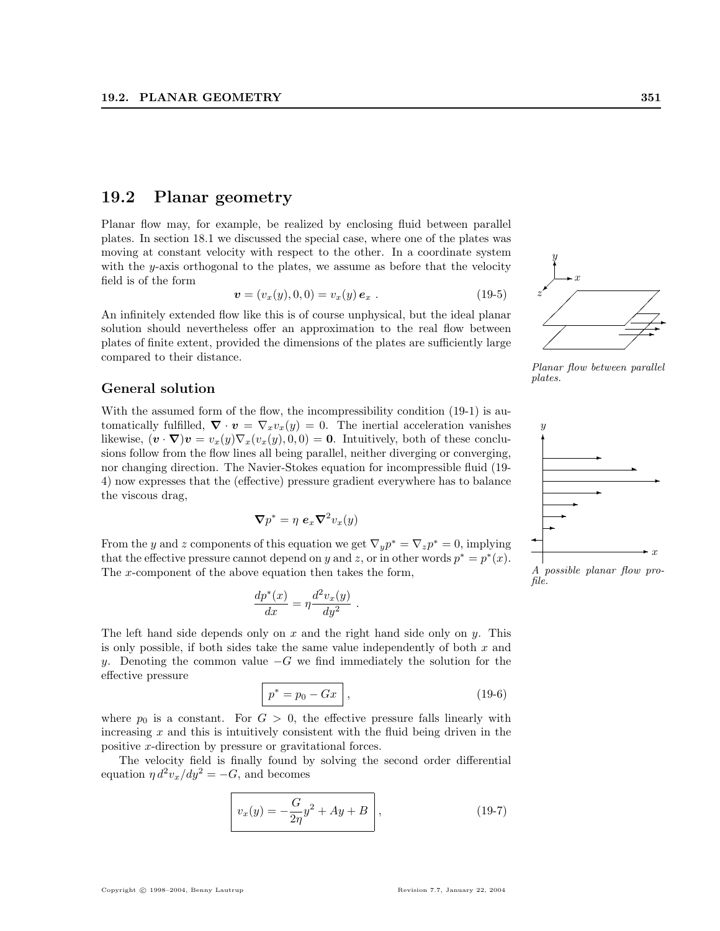# 19.2 Planar geometry

Planar flow may, for example, be realized by enclosing fluid between parallel plates. In section 18.1 we discussed the special case, where one of the plates was moving at constant velocity with respect to the other. In a coordinate system with the y-axis orthogonal to the plates, we assume as before that the velocity field is of the form

$$
\mathbf{v} = (v_x(y), 0, 0) = v_x(y) \, \mathbf{e}_x \; . \tag{19-5}
$$

An infinitely extended flow like this is of course unphysical, but the ideal planar solution should nevertheless offer an approximation to the real flow between plates of finite extent, provided the dimensions of the plates are sufficiently large compared to their distance.

#### General solution

With the assumed form of the flow, the incompressibility condition  $(19-1)$  is automatically fulfilled,  $\nabla \cdot \mathbf{v} = \nabla_x v_x(y) = 0$ . The inertial acceleration vanishes likewise,  $(\mathbf{v} \cdot \nabla) \mathbf{v} = v_x(y) \nabla_x (v_x(y), 0, 0) = \mathbf{0}$ . Intuitively, both of these conclusions follow from the flow lines all being parallel, neither diverging or converging, nor changing direction. The Navier-Stokes equation for incompressible fluid (19- 4) now expresses that the (effective) pressure gradient everywhere has to balance the viscous drag,

$$
\boldsymbol{\nabla} p^* = \eta \, \boldsymbol{e}_x \boldsymbol{\nabla}^2 v_x(y)
$$

From the y and z components of this equation we get  $\nabla_y p^* = \nabla_z p^* = 0$ , implying that the effective pressure cannot depend on y and z, or in other words  $p^* = p^*(x)$ . The x-component of the above equation then takes the form,

$$
\frac{dp^*(x)}{dx} = \eta \frac{d^2v_x(y)}{dy^2}
$$

The left hand side depends only on  $x$  and the right hand side only on  $y$ . This is only possible, if both sides take the same value independently of both  $x$  and y. Denoting the common value  $-G$  we find immediately the solution for the effective pressure

$$
p^* = p_0 - Gx \quad , \tag{19-6}
$$

.

where  $p_0$  is a constant. For  $G > 0$ , the effective pressure falls linearly with increasing  $x$  and this is intuitively consistent with the fluid being driven in the positive x-direction by pressure or gravitational forces.

The velocity field is finally found by solving the second order differential equation  $\eta d^2v_x/dy^2 = -G$ , and becomes

$$
\[ v_x(y) = -\frac{G}{2\eta} y^2 + Ay + B \], \tag{19-7}
$$

 $\hat{y}$ 

Planar flow between parallel plates.



A possible planar flow profile.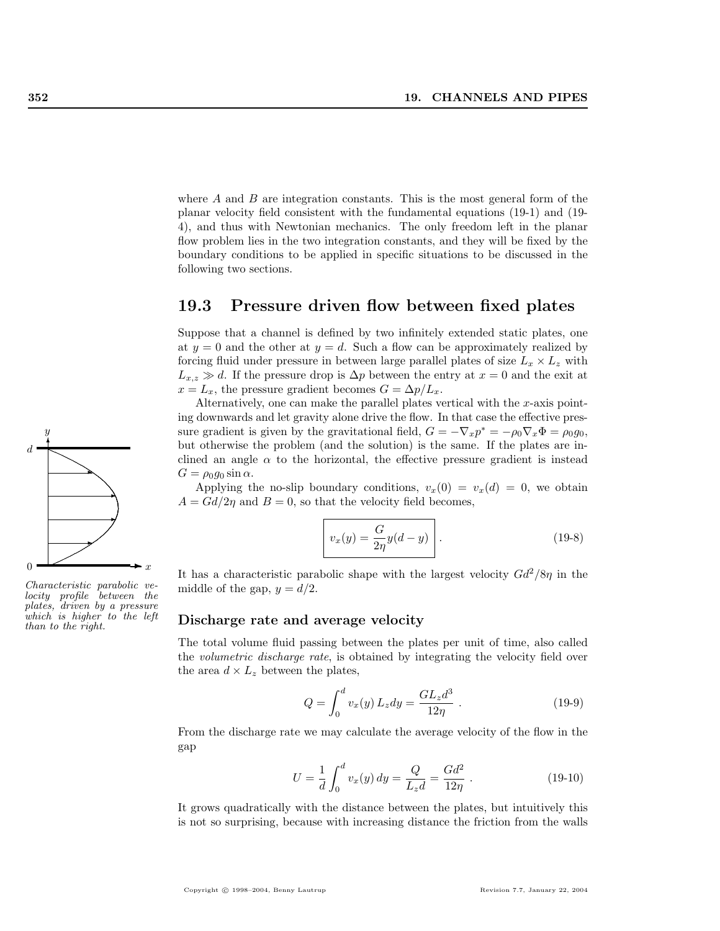where  $A$  and  $B$  are integration constants. This is the most general form of the planar velocity field consistent with the fundamental equations (19-1) and (19- 4), and thus with Newtonian mechanics. The only freedom left in the planar flow problem lies in the two integration constants, and they will be fixed by the boundary conditions to be applied in specific situations to be discussed in the following two sections.

# 19.3 Pressure driven flow between fixed plates

Suppose that a channel is defined by two infinitely extended static plates, one at  $y = 0$  and the other at  $y = d$ . Such a flow can be approximately realized by forcing fluid under pressure in between large parallel plates of size  $L_x \times L_z$  with  $L_{x,z} \gg d$ . If the pressure drop is  $\Delta p$  between the entry at  $x = 0$  and the exit at  $x = L_x$ , the pressure gradient becomes  $G = \Delta p / L_x$ .

Alternatively, one can make the parallel plates vertical with the  $x$ -axis pointing downwards and let gravity alone drive the flow. In that case the effective pressure gradient is given by the gravitational field,  $G = -\nabla_x p^* = -\rho_0 \nabla_x \Phi = \rho_0 g_0$ , but otherwise the problem (and the solution) is the same. If the plates are inclined an angle  $\alpha$  to the horizontal, the effective pressure gradient is instead  $G = \rho_0 q_0 \sin \alpha$ .

Applying the no-slip boundary conditions,  $v_x(0) = v_x(d) = 0$ , we obtain  $A = Gd/2\eta$  and  $B = 0$ , so that the velocity field becomes,

$$
v_x(y) = \frac{G}{2\eta}y(d-y)\tag{19-8}
$$

It has a characteristic parabolic shape with the largest velocity  $Gd^2/8\eta$  in the middle of the gap,  $y = d/2$ .

#### Discharge rate and average velocity

The total volume fluid passing between the plates per unit of time, also called the volumetric discharge rate, is obtained by integrating the velocity field over the area  $d \times L_z$  between the plates,

$$
Q = \int_0^d v_x(y) L_z dy = \frac{GL_z d^3}{12\eta} .
$$
 (19-9)

From the discharge rate we may calculate the average velocity of the flow in the gap

$$
U = \frac{1}{d} \int_0^d v_x(y) \, dy = \frac{Q}{L_z d} = \frac{G d^2}{12\eta} \,. \tag{19-10}
$$

It grows quadratically with the distance between the plates, but intuitively this is not so surprising, because with increasing distance the friction from the walls



Characteristic parabolic ve $locity$  profile plates, driven by a pressure which is higher to the left than to the right.

Copyright © 1998–2004, Benny Lautrup Revision 7.7, January 22, 2004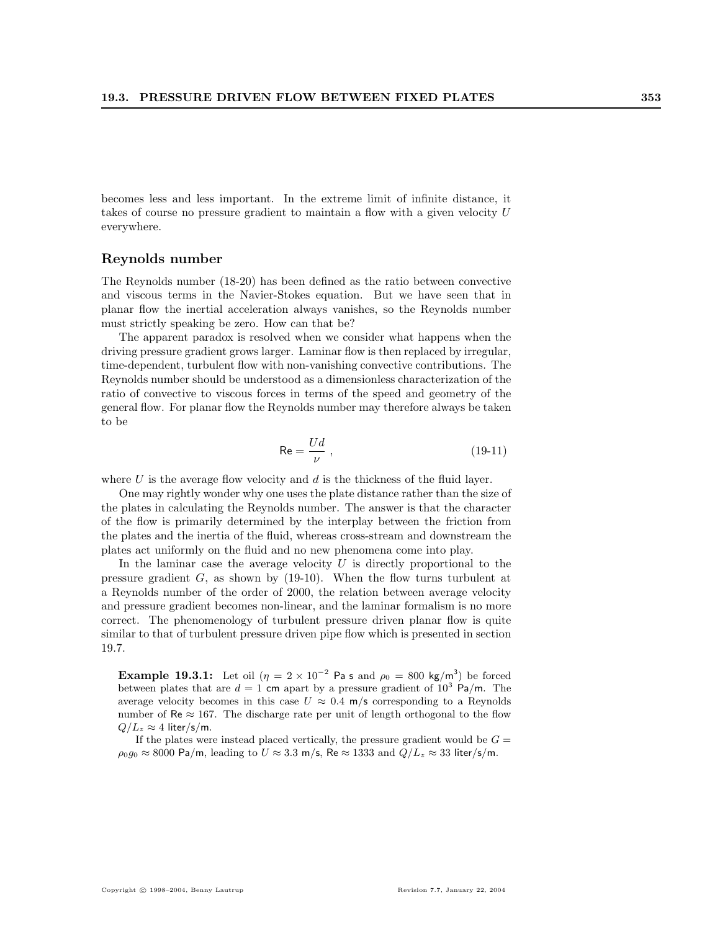becomes less and less important. In the extreme limit of infinite distance, it takes of course no pressure gradient to maintain a flow with a given velocity U everywhere.

#### Reynolds number

The Reynolds number (18-20) has been defined as the ratio between convective and viscous terms in the Navier-Stokes equation. But we have seen that in planar flow the inertial acceleration always vanishes, so the Reynolds number must strictly speaking be zero. How can that be?

The apparent paradox is resolved when we consider what happens when the driving pressure gradient grows larger. Laminar flow is then replaced by irregular, time-dependent, turbulent flow with non-vanishing convective contributions. The Reynolds number should be understood as a dimensionless characterization of the ratio of convective to viscous forces in terms of the speed and geometry of the general flow. For planar flow the Reynolds number may therefore always be taken to be

$$
\text{Re} = \frac{Ud}{\nu} \,,\tag{19-11}
$$

where  $U$  is the average flow velocity and  $d$  is the thickness of the fluid layer.

One may rightly wonder why one uses the plate distance rather than the size of the plates in calculating the Reynolds number. The answer is that the character of the flow is primarily determined by the interplay between the friction from the plates and the inertia of the fluid, whereas cross-stream and downstream the plates act uniformly on the fluid and no new phenomena come into play.

In the laminar case the average velocity  $U$  is directly proportional to the pressure gradient  $G$ , as shown by (19-10). When the flow turns turbulent at a Reynolds number of the order of 2000, the relation between average velocity and pressure gradient becomes non-linear, and the laminar formalism is no more correct. The phenomenology of turbulent pressure driven planar flow is quite similar to that of turbulent pressure driven pipe flow which is presented in section 19.7.

**Example 19.3.1:** Let oil  $(\eta = 2 \times 10^{-2} \text{ Pa s and } \rho_0 = 800 \text{ kg/m}^3)$  be forced between plates that are  $d = 1$  cm apart by a pressure gradient of  $10^3$  Pa/m. The average velocity becomes in this case  $U \approx 0.4$  m/s corresponding to a Reynolds number of Re  $\approx 167$ . The discharge rate per unit of length orthogonal to the flow  $Q/L_z \approx 4$  liter/s/m.

If the plates were instead placed vertically, the pressure gradient would be  $G =$  $\rho_0 g_0 \approx 8000 \text{ Pa/m}$ , leading to  $U \approx 3.3 \text{ m/s}$ , Re  $\approx 1333 \text{ and } Q/L_z \approx 33 \text{ liter/s/m}$ .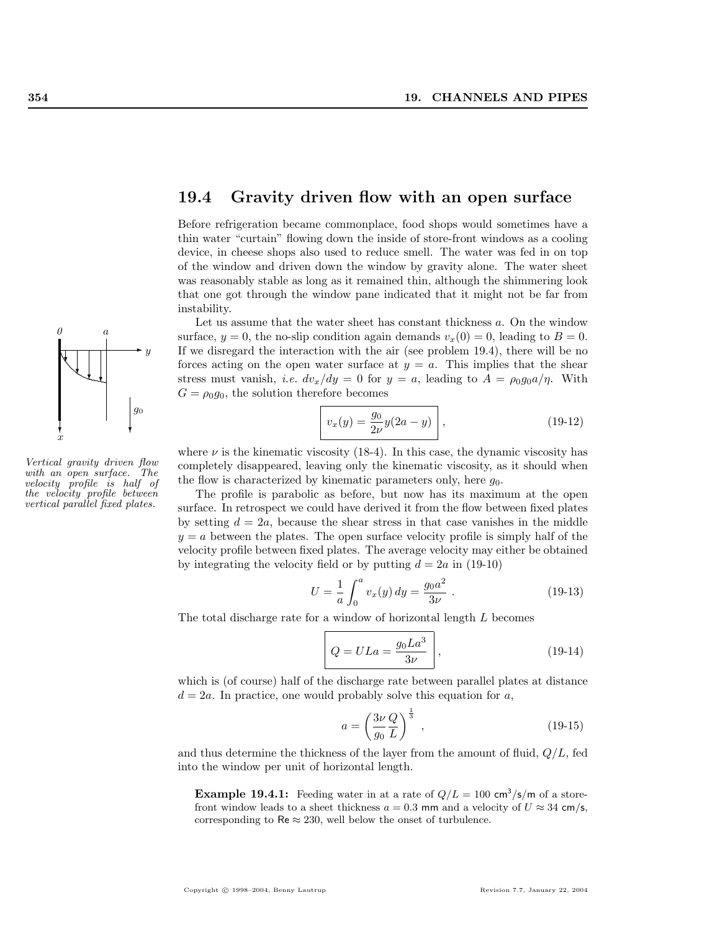

Vertical gravity driven flow with an open surface. The velocity profile is half of the velocity profile between vertical parallel fixed plates.

# 19.4 Gravity driven flow with an open surface

Before refrigeration became commonplace, food shops would sometimes have a thin water "curtain" flowing down the inside of store-front windows as a cooling device, in cheese shops also used to reduce smell. The water was fed in on top of the window and driven down the window by gravity alone. The water sheet was reasonably stable as long as it remained thin, although the shimmering look that one got through the window pane indicated that it might not be far from instability.

Let us assume that the water sheet has constant thickness a. On the window surface,  $y = 0$ , the no-slip condition again demands  $v_x(0) = 0$ , leading to  $B = 0$ . If we disregard the interaction with the air (see problem 19.4), there will be no forces acting on the open water surface at  $y = a$ . This implies that the shear stress must vanish, *i.e.*  $dv_x/dy = 0$  for  $y = a$ , leading to  $A = \rho_0 g_0 a/\eta$ . With  $G = \rho_0 g_0$ , the solution therefore becomes

$$
v_x(y) = \frac{g_0}{2\nu} y(2a - y) \,, \tag{19-12}
$$

where  $\nu$  is the kinematic viscosity (18-4). In this case, the dynamic viscosity has completely disappeared, leaving only the kinematic viscosity, as it should when the flow is characterized by kinematic parameters only, here  $q_0$ .

The profile is parabolic as before, but now has its maximum at the open surface. In retrospect we could have derived it from the flow between fixed plates by setting  $d = 2a$ , because the shear stress in that case vanishes in the middle  $y = a$  between the plates. The open surface velocity profile is simply half of the velocity profile between fixed plates. The average velocity may either be obtained by integrating the velocity field or by putting  $d = 2a$  in (19-10)

$$
U = \frac{1}{a} \int_0^a v_x(y) \, dy = \frac{g_0 a^2}{3\nu} \,. \tag{19-13}
$$

The total discharge rate for a window of horizontal length L becomes

$$
Q = ULa = \frac{g_0La^3}{3\nu}, \qquad (19-14)
$$

which is (of course) half of the discharge rate between parallel plates at distance  $d = 2a$ . In practice, one would probably solve this equation for a,

$$
a = \left(\frac{3\nu}{g_0} \frac{Q}{L}\right)^{\frac{1}{3}},\tag{19-15}
$$

and thus determine the thickness of the layer from the amount of fluid,  $Q/L$ , fed into the window per unit of horizontal length.

**Example 19.4.1:** Feeding water in at a rate of  $Q/L = 100 \text{ cm}^3/\text{s/m}$  of a storefront window leads to a sheet thickness  $a = 0.3$  mm and a velocity of  $U \approx 34$  cm/s, corresponding to  $\text{Re} \approx 230$ , well below the onset of turbulence.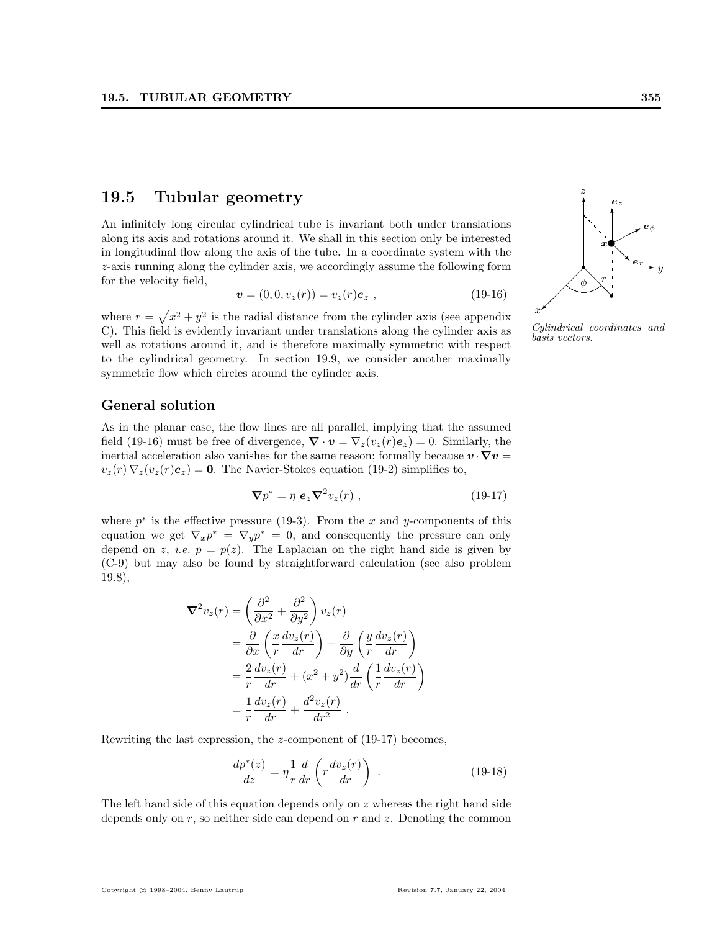# 19.5 Tubular geometry

An infinitely long circular cylindrical tube is invariant both under translations along its axis and rotations around it. We shall in this section only be interested in longitudinal flow along the axis of the tube. In a coordinate system with the z-axis running along the cylinder axis, we accordingly assume the following form for the velocity field,

$$
\mathbf{v} = (0, 0, v_z(r)) = v_z(r)\mathbf{e}_z , \qquad (19-16)
$$

where  $r =$ p  $x^2 + y^2$  is the radial distance from the cylinder axis (see appendix C). This field is evidently invariant under translations along the cylinder axis as well as rotations around it, and is therefore maximally symmetric with respect to the cylindrical geometry. In section 19.9, we consider another maximally symmetric flow which circles around the cylinder axis.

#### General solution

As in the planar case, the flow lines are all parallel, implying that the assumed field (19-16) must be free of divergence,  $\nabla \cdot \mathbf{v} = \nabla_z(v_z(r)\mathbf{e}_z) = 0$ . Similarly, the inertial acceleration also vanishes for the same reason; formally because  $v \cdot \nabla v =$  $v_z(r) \nabla_z (v_z(r) e_z) = 0$ . The Navier-Stokes equation (19-2) simplifies to,

$$
\nabla p^* = \eta \ e_z \nabla^2 v_z(r) \ , \qquad (19-17)
$$

where  $p^*$  is the effective pressure (19-3). From the x and y-components of this equation we get  $\nabla_x p^* = \nabla_y p^* = 0$ , and consequently the pressure can only depend on z, *i.e.*  $p = p(z)$ . The Laplacian on the right hand side is given by (C-9) but may also be found by straightforward calculation (see also problem 19.8),

$$
\nabla^2 v_z(r) = \left(\frac{\partial^2}{\partial x^2} + \frac{\partial^2}{\partial y^2}\right) v_z(r)
$$
  
=  $\frac{\partial}{\partial x} \left(\frac{x}{r} \frac{dv_z(r)}{dr}\right) + \frac{\partial}{\partial y} \left(\frac{y}{r} \frac{dv_z(r)}{dr}\right)$   
=  $\frac{2}{r} \frac{dv_z(r)}{dr} + (x^2 + y^2) \frac{d}{dr} \left(\frac{1}{r} \frac{dv_z(r)}{dr}\right)$   
=  $\frac{1}{r} \frac{dv_z(r)}{dr} + \frac{d^2 v_z(r)}{dr^2}$ .

Rewriting the last expression, the z-component of (19-17) becomes,

$$
\frac{dp^*(z)}{dz} = \eta \frac{1}{r} \frac{d}{dr} \left( r \frac{dv_z(r)}{dr} \right) . \tag{19-18}
$$

The left hand side of this equation depends only on z whereas the right hand side depends only on  $r$ , so neither side can depend on  $r$  and  $z$ . Denoting the common



z

Cylindrical coordinates and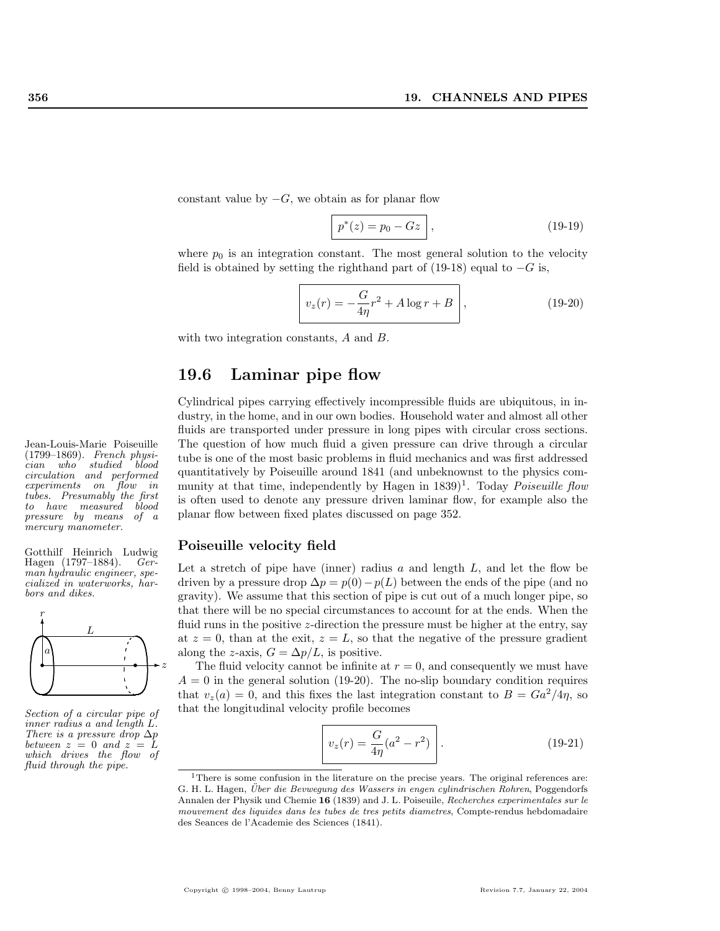constant value by  $-G$ , we obtain as for planar flow

$$
\boxed{p^*(z) = p_0 - Gz},\tag{19-19}
$$

where  $p_0$  is an integration constant. The most general solution to the velocity field is obtained by setting the righthand part of (19-18) equal to  $-G$  is,

$$
v_z(r) = -\frac{G}{4\eta}r^2 + A\log r + B,
$$
\n(19-20)

with two integration constants, A and B.

# 19.6 Laminar pipe flow

Cylindrical pipes carrying effectively incompressible fluids are ubiquitous, in industry, in the home, and in our own bodies. Household water and almost all other fluids are transported under pressure in long pipes with circular cross sections. Jean-Louis-Marie Poiseuille The question of how much fluid a given pressure can drive through a circular tube is one of the most basic problems in fluid mechanics and was first addressed quantitatively by Poiseuille around 1841 (and unbeknownst to the physics community at that time, independently by Hagen in  $1839$ <sup>1</sup>. Today *Poiseuille flow* is often used to denote any pressure driven laminar flow, for example also the planar flow between fixed plates discussed on page 352.

#### Poiseuille velocity field

Let a stretch of pipe have (inner) radius  $a$  and length  $L$ , and let the flow be driven by a pressure drop  $\Delta p = p(0) - p(L)$  between the ends of the pipe (and no gravity). We assume that this section of pipe is cut out of a much longer pipe, so that there will be no special circumstances to account for at the ends. When the fluid runs in the positive *z*-direction the pressure must be higher at the entry, say at  $z = 0$ , than at the exit,  $z = L$ , so that the negative of the pressure gradient along the z-axis,  $G = \Delta p/L$ , is positive.

The fluid velocity cannot be infinite at  $r = 0$ , and consequently we must have  $A = 0$  in the general solution (19-20). The no-slip boundary condition requires that  $v_z(a) = 0$ , and this fixes the last integration constant to  $B = Ga^2/4\eta$ , so that the longitudinal velocity profile becomes

$$
v_z(r) = \frac{G}{4\eta} (a^2 - r^2)
$$
 (19-21)

(1799–1869). French physician who studied blood circulation and performed experiments on flow in tubes. Presumably the first to have measured blood pressure by means of a mercury manometer.

Gotthilf Heinrich Ludwig Hagen (1797–1884). German hydraulic engineer, specialized in waterworks, harbors and dikes.



Section of a circular pipe of inner radius a and length L. There is a pressure drop  $\Delta p$ between  $z = 0$  and  $z = L$ which drives the flow of fluid through the pipe.

 $1$ There is some confusion in the literature on the precise years. The original references are: G. H. L. Hagen, Über die Bevwegung des Wassers in engen cylindrischen Rohren, Poggendorfs Annalen der Physik und Chemie 16 (1839) and J. L. Poiseuile, Recherches experimentales sur le mouvement des liquides dans les tubes de tres petits diametres, Compte-rendus hebdomadaire des Seances de l'Academie des Sciences (1841).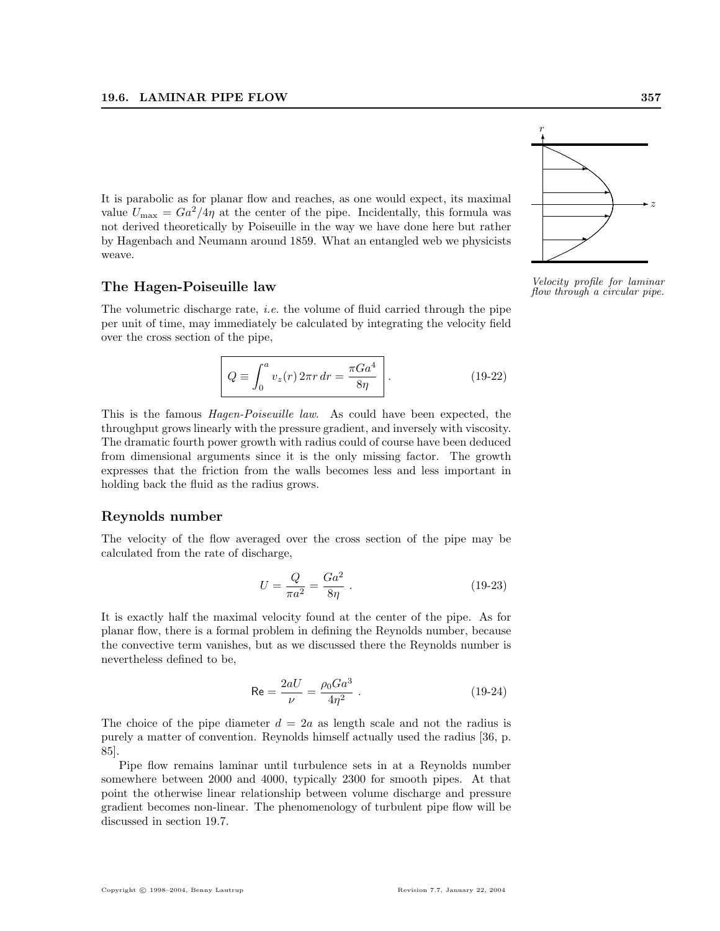It is parabolic as for planar flow and reaches, as one would expect, its maximal value  $U_{\text{max}} = Ga^2/4\eta$  at the center of the pipe. Incidentally, this formula was not derived theoretically by Poiseuille in the way we have done here but rather by Hagenbach and Neumann around 1859. What an entangled web we physicists weave.

The volumetric discharge rate, i.e. the volume of fluid carried through the pipe per unit of time, may immediately be calculated by integrating the velocity field over the cross section of the pipe,

$$
Q \equiv \int_0^a v_z(r) \, 2\pi r \, dr = \frac{\pi G a^4}{8\eta} \bigg| \,. \tag{19-22}
$$

This is the famous Hagen-Poiseuille law. As could have been expected, the throughput grows linearly with the pressure gradient, and inversely with viscosity. The dramatic fourth power growth with radius could of course have been deduced from dimensional arguments since it is the only missing factor. The growth expresses that the friction from the walls becomes less and less important in holding back the fluid as the radius grows.

#### Reynolds number

The velocity of the flow averaged over the cross section of the pipe may be calculated from the rate of discharge,

$$
U = \frac{Q}{\pi a^2} = \frac{Ga^2}{8\eta} \ . \tag{19-23}
$$

It is exactly half the maximal velocity found at the center of the pipe. As for planar flow, there is a formal problem in defining the Reynolds number, because the convective term vanishes, but as we discussed there the Reynolds number is nevertheless defined to be,

$$
\text{Re} = \frac{2aU}{\nu} = \frac{\rho_0 G a^3}{4\eta^2} \ . \tag{19-24}
$$

The choice of the pipe diameter  $d = 2a$  as length scale and not the radius is purely a matter of convention. Reynolds himself actually used the radius [36, p. 85].

Pipe flow remains laminar until turbulence sets in at a Reynolds number somewhere between 2000 and 4000, typically 2300 for smooth pipes. At that point the otherwise linear relationship between volume discharge and pressure gradient becomes non-linear. The phenomenology of turbulent pipe flow will be discussed in section 19.7.



The Hagen-Poiseuille law  $\begin{array}{cc}\n\text{Velociety profile for laminar} \\
\text{flow through a circular pipe.}\n\end{array}$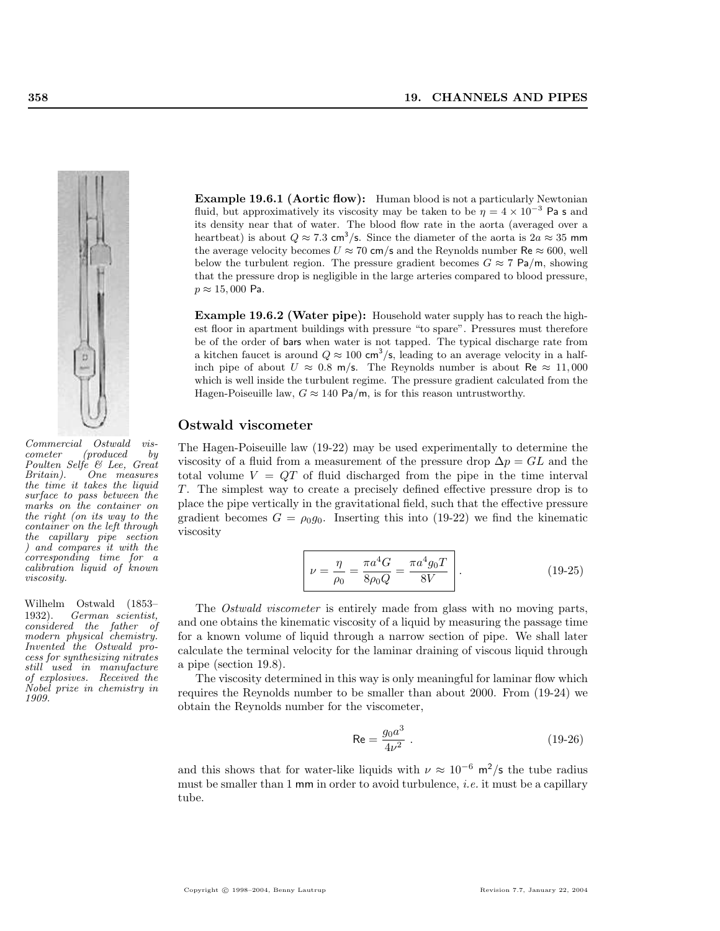

Commercial Ostwald viscometer (produced by Poulten Selfe & Lee, Great Britain). One measures the time it takes the liquid surface to pass between the marks on the container on the right (on its way to the container on the left through the capillary pipe section ) and compares it with the corresponding time for a calibration liquid of known viscosity.

Wilhelm Ostwald (1853– 1932). German scientist, considered the father of modern physical chemistry. Invented the Ostwald process for synthesizing nitrates still used in manufacture of explosives. Received the Nobel prize in chemistry in 1909.

**Example 19.6.1 (Aortic flow):** Human blood is not a particularly Newtonian fluid, but approximatively its viscosity may be taken to be  $\eta = 4 \times 10^{-3}$  Pa s and its density near that of water. The blood flow rate in the aorta (averaged over a heartbeat) is about  $Q \approx 7.3$  cm<sup>3</sup>/s. Since the diameter of the aorta is  $2a \approx 35$  mm the average velocity becomes  $U \approx 70$  cm/s and the Reynolds number Re  $\approx 600$ , well below the turbulent region. The pressure gradient becomes  $G \approx 7 \text{ Pa/m}$ , showing that the pressure drop is negligible in the large arteries compared to blood pressure,  $p \approx 15,000$  Pa.

Example 19.6.2 (Water pipe): Household water supply has to reach the highest floor in apartment buildings with pressure "to spare". Pressures must therefore be of the order of bars when water is not tapped. The typical discharge rate from a kitchen faucet is around  $Q \approx 100 \text{ cm}^3/\text{s}$ , leading to an average velocity in a halfinch pipe of about  $U \approx 0.8$  m/s. The Reynolds number is about Re  $\approx 11,000$ which is well inside the turbulent regime. The pressure gradient calculated from the Hagen-Poiseuille law,  $G \approx 140 \text{ Pa/m}$ , is for this reason untrustworthy.

#### Ostwald viscometer

The Hagen-Poiseuille law (19-22) may be used experimentally to determine the viscosity of a fluid from a measurement of the pressure drop  $\Delta p = GL$  and the total volume  $V = QT$  of fluid discharged from the pipe in the time interval T. The simplest way to create a precisely defined effective pressure drop is to place the pipe vertically in the gravitational field, such that the effective pressure gradient becomes  $G = \rho_0 g_0$ . Inserting this into (19-22) we find the kinematic viscosity

$$
\nu = \frac{\eta}{\rho_0} = \frac{\pi a^4 G}{8\rho_0 Q} = \frac{\pi a^4 g_0 T}{8V}.
$$
 (19-25)

The Ostwald viscometer is entirely made from glass with no moving parts, and one obtains the kinematic viscosity of a liquid by measuring the passage time for a known volume of liquid through a narrow section of pipe. We shall later calculate the terminal velocity for the laminar draining of viscous liquid through a pipe (section 19.8).

The viscosity determined in this way is only meaningful for laminar flow which requires the Reynolds number to be smaller than about 2000. From (19-24) we obtain the Reynolds number for the viscometer,

$$
\text{Re} = \frac{g_0 a^3}{4\nu^2} \,. \tag{19-26}
$$

and this shows that for water-like liquids with  $\nu \approx 10^{-6}$  m<sup>2</sup>/s the tube radius must be smaller than 1 mm in order to avoid turbulence, *i.e.* it must be a capillary tube.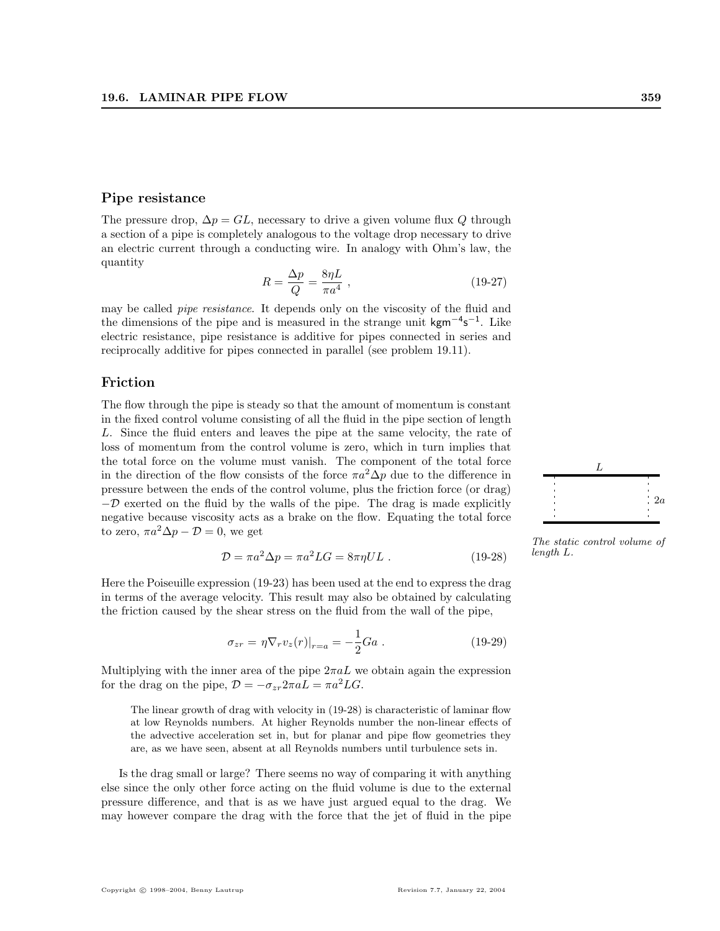#### Pipe resistance

The pressure drop,  $\Delta p = GL$ , necessary to drive a given volume flux Q through a section of a pipe is completely analogous to the voltage drop necessary to drive an electric current through a conducting wire. In analogy with Ohm's law, the quantity

$$
R = \frac{\Delta p}{Q} = \frac{8\eta L}{\pi a^4} \,,\tag{19-27}
$$

may be called *pipe resistance*. It depends only on the viscosity of the fluid and the dimensions of the pipe and is measured in the strange unit kgm<sup>-4</sup>s<sup>-1</sup>. Like electric resistance, pipe resistance is additive for pipes connected in series and reciprocally additive for pipes connected in parallel (see problem 19.11).

#### Friction

The flow through the pipe is steady so that the amount of momentum is constant in the fixed control volume consisting of all the fluid in the pipe section of length L. Since the fluid enters and leaves the pipe at the same velocity, the rate of loss of momentum from the control volume is zero, which in turn implies that the total force on the volume must vanish. The component of the total force in the direction of the flow consists of the force  $\pi a^2 \Delta p$  due to the difference in pressure between the ends of the control volume, plus the friction force (or drag)  $-\mathcal{D}$  exerted on the fluid by the walls of the pipe. The drag is made explicitly negative because viscosity acts as a brake on the flow. Equating the total force to zero,  $\pi a^2 \Delta p - \mathcal{D} = 0$ , we get

$$
\mathcal{D} = \pi a^2 \Delta p = \pi a^2 LG = 8\pi \eta UL \tag{19-28}
$$
 *length L.*

Here the Poiseuille expression (19-23) has been used at the end to express the drag in terms of the average velocity. This result may also be obtained by calculating the friction caused by the shear stress on the fluid from the wall of the pipe,

$$
\sigma_{zr} = \eta \nabla_r v_z(r)|_{r=a} = -\frac{1}{2}Ga \ . \tag{19-29}
$$

Multiplying with the inner area of the pipe  $2\pi aL$  we obtain again the expression for the drag on the pipe,  $\mathcal{D} = -\sigma_{zr}2\pi aL = \pi a^2 LG$ .

The linear growth of drag with velocity in (19-28) is characteristic of laminar flow at low Reynolds numbers. At higher Reynolds number the non-linear effects of the advective acceleration set in, but for planar and pipe flow geometries they are, as we have seen, absent at all Reynolds numbers until turbulence sets in.

Is the drag small or large? There seems no way of comparing it with anything else since the only other force acting on the fluid volume is due to the external pressure difference, and that is as we have just argued equal to the drag. We may however compare the drag with the force that the jet of fluid in the pipe



The static control volume of length L.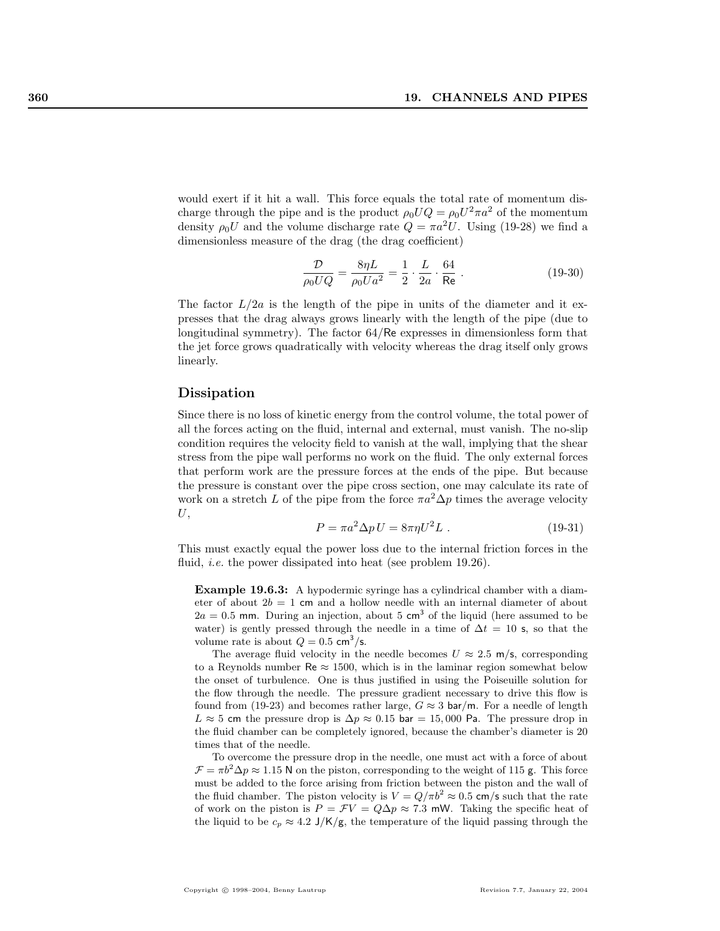would exert if it hit a wall. This force equals the total rate of momentum discharge through the pipe and is the product  $\rho_0 U Q = \rho_0 U^2 \pi a^2$  of the momentum density  $\rho_0 U$  and the volume discharge rate  $Q = \pi a^2 U$ . Using (19-28) we find a dimensionless measure of the drag (the drag coefficient)

$$
\frac{\mathcal{D}}{\rho_0 U Q} = \frac{8\eta L}{\rho_0 U a^2} = \frac{1}{2} \cdot \frac{L}{2a} \cdot \frac{64}{\text{Re}} \,. \tag{19-30}
$$

The factor  $L/2a$  is the length of the pipe in units of the diameter and it expresses that the drag always grows linearly with the length of the pipe (due to longitudinal symmetry). The factor 64/Re expresses in dimensionless form that the jet force grows quadratically with velocity whereas the drag itself only grows linearly.

#### Dissipation

Since there is no loss of kinetic energy from the control volume, the total power of all the forces acting on the fluid, internal and external, must vanish. The no-slip condition requires the velocity field to vanish at the wall, implying that the shear stress from the pipe wall performs no work on the fluid. The only external forces that perform work are the pressure forces at the ends of the pipe. But because the pressure is constant over the pipe cross section, one may calculate its rate of work on a stretch L of the pipe from the force  $\pi a^2 \Delta p$  times the average velocity  $U,$ 

$$
P = \pi a^2 \Delta p U = 8\pi \eta U^2 L . \qquad (19-31)
$$

This must exactly equal the power loss due to the internal friction forces in the fluid, *i.e.* the power dissipated into heat (see problem 19.26).

Example 19.6.3: A hypodermic syringe has a cylindrical chamber with a diameter of about  $2b = 1$  cm and a hollow needle with an internal diameter of about  $2a = 0.5$  mm. During an injection, about 5 cm<sup>3</sup> of the liquid (here assumed to be water) is gently pressed through the needle in a time of  $\Delta t = 10$  s, so that the volume rate is about  $Q = 0.5$  cm<sup>3</sup>/s.

The average fluid velocity in the needle becomes  $U \approx 2.5$  m/s, corresponding to a Reynolds number  $\text{Re} \approx 1500$ , which is in the laminar region somewhat below the onset of turbulence. One is thus justified in using the Poiseuille solution for the flow through the needle. The pressure gradient necessary to drive this flow is found from (19-23) and becomes rather large,  $G \approx 3$  bar/m. For a needle of length L  $\approx$  5 cm the pressure drop is  $\Delta p \approx 0.15$  bar = 15,000 Pa. The pressure drop in the fluid chamber can be completely ignored, because the chamber's diameter is 20 times that of the needle.

To overcome the pressure drop in the needle, one must act with a force of about  $\mathcal{F} = \pi b^2 \Delta p \approx 1.15$  N on the piston, corresponding to the weight of 115 g. This force must be added to the force arising from friction between the piston and the wall of the fluid chamber. The piston velocity is  $V = Q/\pi b^2 \approx 0.5$  cm/s such that the rate of work on the piston is  $P = \mathcal{F}V = Q\Delta p \approx 7.3$  mW. Taking the specific heat of the liquid to be  $c_p \approx 4.2 \text{ J/K/g}$ , the temperature of the liquid passing through the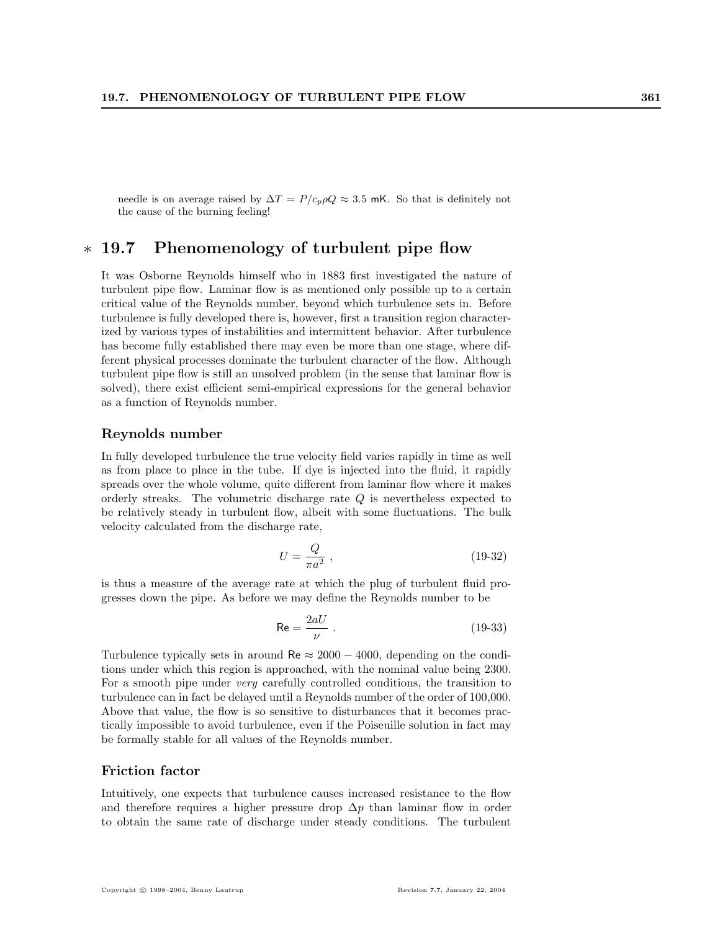needle is on average raised by  $\Delta T = P/c_p \rho Q \approx 3.5$  mK. So that is definitely not the cause of the burning feeling!

# ∗ 19.7 Phenomenology of turbulent pipe flow

It was Osborne Reynolds himself who in 1883 first investigated the nature of turbulent pipe flow. Laminar flow is as mentioned only possible up to a certain critical value of the Reynolds number, beyond which turbulence sets in. Before turbulence is fully developed there is, however, first a transition region characterized by various types of instabilities and intermittent behavior. After turbulence has become fully established there may even be more than one stage, where different physical processes dominate the turbulent character of the flow. Although turbulent pipe flow is still an unsolved problem (in the sense that laminar flow is solved), there exist efficient semi-empirical expressions for the general behavior as a function of Reynolds number.

#### Reynolds number

In fully developed turbulence the true velocity field varies rapidly in time as well as from place to place in the tube. If dye is injected into the fluid, it rapidly spreads over the whole volume, quite different from laminar flow where it makes orderly streaks. The volumetric discharge rate Q is nevertheless expected to be relatively steady in turbulent flow, albeit with some fluctuations. The bulk velocity calculated from the discharge rate,

$$
U = \frac{Q}{\pi a^2} \tag{19-32}
$$

is thus a measure of the average rate at which the plug of turbulent fluid progresses down the pipe. As before we may define the Reynolds number to be

$$
\text{Re} = \frac{2aU}{\nu} \tag{19-33}
$$

Turbulence typically sets in around Re  $\approx 2000 - 4000$ , depending on the conditions under which this region is approached, with the nominal value being 2300. For a smooth pipe under very carefully controlled conditions, the transition to turbulence can in fact be delayed until a Reynolds number of the order of 100,000. Above that value, the flow is so sensitive to disturbances that it becomes practically impossible to avoid turbulence, even if the Poiseuille solution in fact may be formally stable for all values of the Reynolds number.

#### Friction factor

Intuitively, one expects that turbulence causes increased resistance to the flow and therefore requires a higher pressure drop  $\Delta p$  than laminar flow in order to obtain the same rate of discharge under steady conditions. The turbulent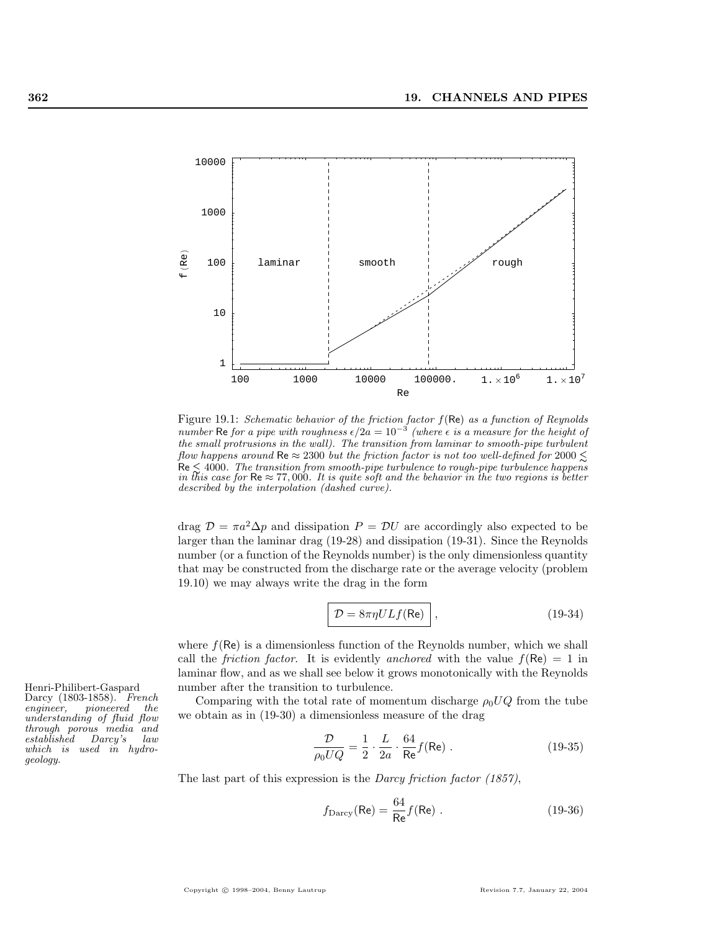

Figure 19.1: Schematic behavior of the friction factor  $f(\text{Re})$  as a function of Reynolds number Re for a pipe with roughness  $\epsilon/2a = 10^{-3}$  (where  $\epsilon$  is a measure for the height of the small protrusions in the wall). The transition from laminar to smooth-pipe turbulent flow happens around Re  $\approx 2300$  but the friction factor is not too well-defined for 2000  $\leq$  $\text{Re} \lesssim 4000$ . The transition from smooth-pipe turbulence to rough-pipe turbulence happens in this case for  $\text{Re} \approx 77,000$ . It is quite soft and the behavior in the two regions is better described by the interpolation (dashed curve).

drag  $\mathcal{D} = \pi a^2 \Delta p$  and dissipation  $P = \mathcal{D}U$  are accordingly also expected to be larger than the laminar drag (19-28) and dissipation (19-31). Since the Reynolds number (or a function of the Reynolds number) is the only dimensionless quantity that may be constructed from the discharge rate or the average velocity (problem 19.10) we may always write the drag in the form

$$
\mathcal{D} = 8\pi \eta ULf(\text{Re})
$$
, (19-34)

where  $f(\mathsf{Re})$  is a dimensionless function of the Reynolds number, which we shall call the *friction factor*. It is evidently anchored with the value  $f(\mathsf{Re}) = 1$  in laminar flow, and as we shall see below it grows monotonically with the Reynolds Henri-Philibert-Gaspard number after the transition to turbulence.

> Comparing with the total rate of momentum discharge  $\rho_0 U Q$  from the tube we obtain as in (19-30) a dimensionless measure of the drag

$$
\frac{\mathcal{D}}{\rho_0 U Q} = \frac{1}{2} \cdot \frac{L}{2a} \cdot \frac{64}{\text{Re}} f(\text{Re}) \ . \tag{19-35}
$$

The last part of this expression is the *Darcy friction factor (1857)*,

$$
f_{\text{Darcy}}(\text{Re}) = \frac{64}{\text{Re}} f(\text{Re}) . \qquad (19-36)
$$

Darcy (1803-1858). French<br>engineer, pioneered the  $pione'ered$ understanding of fluid flow through porous media and established Darcy's law which is used in hydrogeology.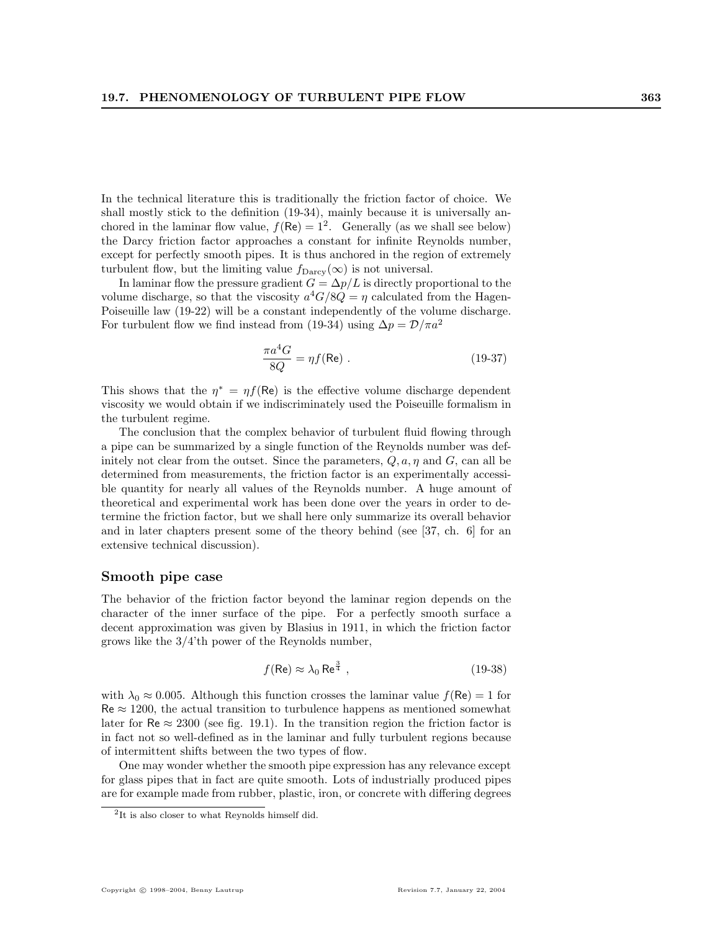In the technical literature this is traditionally the friction factor of choice. We shall mostly stick to the definition (19-34), mainly because it is universally anchored in the laminar flow value,  $f(\text{Re}) = 1^2$ . Generally (as we shall see below) the Darcy friction factor approaches a constant for infinite Reynolds number, except for perfectly smooth pipes. It is thus anchored in the region of extremely turbulent flow, but the limiting value  $f_{\text{Darcy}}(\infty)$  is not universal.

In laminar flow the pressure gradient  $G = \Delta p/L$  is directly proportional to the volume discharge, so that the viscosity  $a^4G/8Q = \eta$  calculated from the Hagen-Poiseuille law (19-22) will be a constant independently of the volume discharge. For turbulent flow we find instead from (19-34) using  $\Delta p = \mathcal{D}/\pi a^2$ 

$$
\frac{\pi a^4 G}{8Q} = \eta f(\text{Re}) \tag{19-37}
$$

This shows that the  $\eta^* = \eta f(\text{Re})$  is the effective volume discharge dependent viscosity we would obtain if we indiscriminately used the Poiseuille formalism in the turbulent regime.

The conclusion that the complex behavior of turbulent fluid flowing through a pipe can be summarized by a single function of the Reynolds number was definitely not clear from the outset. Since the parameters,  $Q, a, \eta$  and  $G$ , can all be determined from measurements, the friction factor is an experimentally accessible quantity for nearly all values of the Reynolds number. A huge amount of theoretical and experimental work has been done over the years in order to determine the friction factor, but we shall here only summarize its overall behavior and in later chapters present some of the theory behind (see [37, ch. 6] for an extensive technical discussion).

#### Smooth pipe case

The behavior of the friction factor beyond the laminar region depends on the character of the inner surface of the pipe. For a perfectly smooth surface a decent approximation was given by Blasius in 1911, in which the friction factor grows like the 3/4'th power of the Reynolds number,

$$
f(\text{Re}) \approx \lambda_0 \text{Re}^{\frac{3}{4}}, \qquad (19-38)
$$

with  $\lambda_0 \approx 0.005$ . Although this function crosses the laminar value  $f(\mathsf{Re}) = 1$  for  $\text{Re} \approx 1200$ , the actual transition to turbulence happens as mentioned somewhat later for  $\text{Re} \approx 2300$  (see fig. 19.1). In the transition region the friction factor is in fact not so well-defined as in the laminar and fully turbulent regions because of intermittent shifts between the two types of flow.

One may wonder whether the smooth pipe expression has any relevance except for glass pipes that in fact are quite smooth. Lots of industrially produced pipes are for example made from rubber, plastic, iron, or concrete with differing degrees

<sup>&</sup>lt;sup>2</sup>It is also closer to what Reynolds himself did.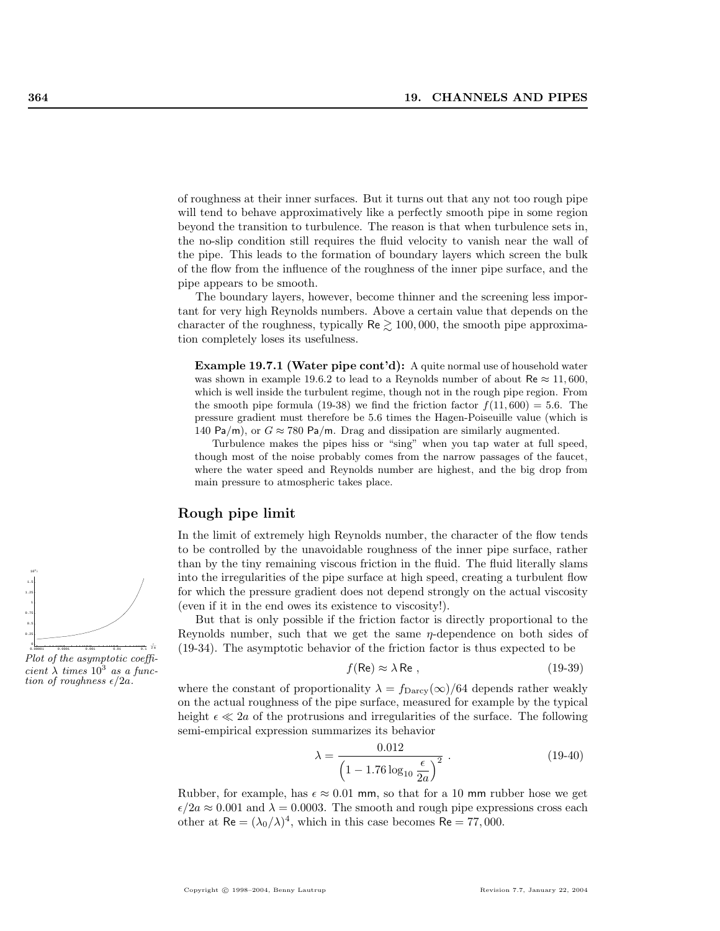of roughness at their inner surfaces. But it turns out that any not too rough pipe will tend to behave approximatively like a perfectly smooth pipe in some region beyond the transition to turbulence. The reason is that when turbulence sets in, the no-slip condition still requires the fluid velocity to vanish near the wall of the pipe. This leads to the formation of boundary layers which screen the bulk of the flow from the influence of the roughness of the inner pipe surface, and the pipe appears to be smooth.

The boundary layers, however, become thinner and the screening less important for very high Reynolds numbers. Above a certain value that depends on the character of the roughness, typically  $\text{Re} \geq 100,000$ , the smooth pipe approximation completely loses its usefulness.

Example 19.7.1 (Water pipe cont'd): A quite normal use of household water was shown in example 19.6.2 to lead to a Reynolds number of about Re  $\approx$  11,600, which is well inside the turbulent regime, though not in the rough pipe region. From the smooth pipe formula (19-38) we find the friction factor  $f(11, 600) = 5.6$ . The pressure gradient must therefore be 5.6 times the Hagen-Poiseuille value (which is 140 Pa/m), or  $G \approx 780$  Pa/m. Drag and dissipation are similarly augmented.

Turbulence makes the pipes hiss or "sing" when you tap water at full speed, though most of the noise probably comes from the narrow passages of the faucet, where the water speed and Reynolds number are highest, and the big drop from main pressure to atmospheric takes place.

#### Rough pipe limit

In the limit of extremely high Reynolds number, the character of the flow tends to be controlled by the unavoidable roughness of the inner pipe surface, rather than by the tiny remaining viscous friction in the fluid. The fluid literally slams into the irregularities of the pipe surface at high speed, creating a turbulent flow for which the pressure gradient does not depend strongly on the actual viscosity (even if it in the end owes its existence to viscosity!).

But that is only possible if the friction factor is directly proportional to the Reynolds number, such that we get the same  $\eta$ -dependence on both sides of (19-34). The asymptotic behavior of the friction factor is thus expected to be

$$
f(\text{Re}) \approx \lambda \,\text{Re} \,,\tag{19-39}
$$

where the constant of proportionality  $\lambda = f_{\text{Darcy}}(\infty)/64$  depends rather weakly on the actual roughness of the pipe surface, measured for example by the typical height  $\epsilon \ll 2a$  of the protrusions and irregularities of the surface. The following semi-empirical expression summarizes its behavior

$$
\lambda = \frac{0.012}{\left(1 - 1.76 \log_{10} \frac{\epsilon}{2a}\right)^2} \tag{19-40}
$$

Rubber, for example, has  $\epsilon \approx 0.01$  mm, so that for a 10 mm rubber hose we get  $\epsilon/2a \approx 0.001$  and  $\lambda = 0.0003$ . The smooth and rough pipe expressions cross each other at  $\text{Re} = (\lambda_0/\lambda)^4$ , which in this case becomes  $\text{Re} = 77,000$ .



Plot of the asymptotic coefficient  $\lambda$  times  $10^3$  as a function of roughness  $\epsilon/2a$ .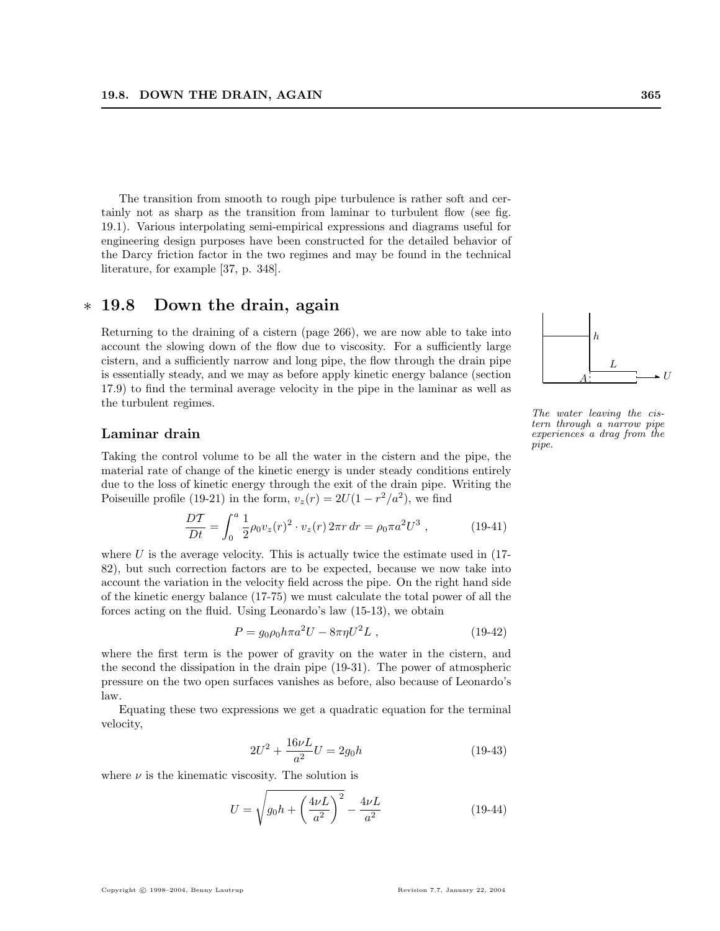The transition from smooth to rough pipe turbulence is rather soft and certainly not as sharp as the transition from laminar to turbulent flow (see fig. 19.1). Various interpolating semi-empirical expressions and diagrams useful for engineering design purposes have been constructed for the detailed behavior of the Darcy friction factor in the two regimes and may be found in the technical literature, for example [37, p. 348].

# ∗ 19.8 Down the drain, again

Returning to the draining of a cistern (page 266), we are now able to take into account the slowing down of the flow due to viscosity. For a sufficiently large cistern, and a sufficiently narrow and long pipe, the flow through the drain pipe is essentially steady, and we may as before apply kinetic energy balance (section 17.9) to find the terminal average velocity in the pipe in the laminar as well as the turbulent regimes.

#### Laminar drain

Taking the control volume to be all the water in the cistern and the pipe, the material rate of change of the kinetic energy is under steady conditions entirely due to the loss of kinetic energy through the exit of the drain pipe. Writing the Poiseuille profile (19-21) in the form,  $v_z(r) = 2U(1 - r^2/a^2)$ , we find

$$
\frac{DT}{Dt} = \int_0^a \frac{1}{2} \rho_0 v_z(r)^2 \cdot v_z(r) 2\pi r \, dr = \rho_0 \pi a^2 U^3 \,, \tag{19-41}
$$

where  $U$  is the average velocity. This is actually twice the estimate used in  $(17-$ 82), but such correction factors are to be expected, because we now take into account the variation in the velocity field across the pipe. On the right hand side of the kinetic energy balance (17-75) we must calculate the total power of all the forces acting on the fluid. Using Leonardo's law (15-13), we obtain

$$
P = g_0 \rho_0 h \pi a^2 U - 8\pi \eta U^2 L \,, \tag{19-42}
$$

where the first term is the power of gravity on the water in the cistern, and the second the dissipation in the drain pipe (19-31). The power of atmospheric pressure on the two open surfaces vanishes as before, also because of Leonardo's law.

Equating these two expressions we get a quadratic equation for the terminal velocity,

$$
2U^2 + \frac{16\nu L}{a^2}U = 2g_0h\tag{19-43}
$$

where  $\nu$  is the kinematic viscosity. The solution is

$$
U = \sqrt{g_0 h + \left(\frac{4\nu L}{a^2}\right)^2} - \frac{4\nu L}{a^2}
$$
 (19-44)

h  $A \xrightarrow{\phantom{aa}} U$ L

The water leaving the cistern through a narrow pipe experiences a drag from the pipe.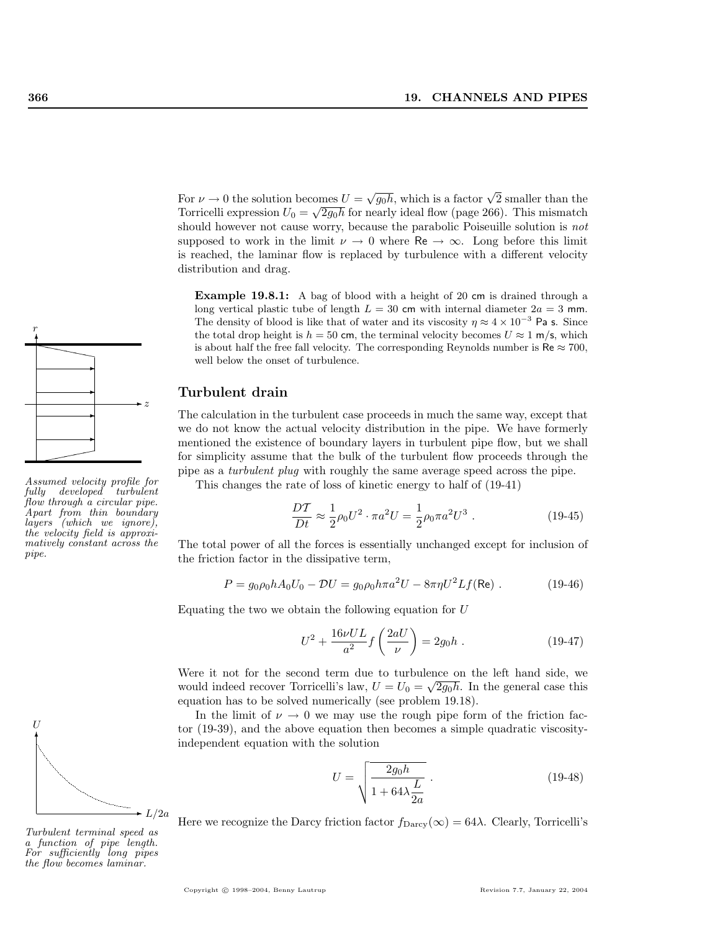For  $\nu \to 0$  the solution becomes  $U = \sqrt{g_0 h}$ , which is a factor  $\sqrt{2}$  smaller than the Torricelli expression  $U_0 = \sqrt{2g_0 h}$  for nearly ideal flow (page 266). This mismatch should however not cause worry, because the parabolic Poiseuille solution is *not* supposed to work in the limit  $\nu \to 0$  where Re  $\to \infty$ . Long before this limit is reached, the laminar flow is replaced by turbulence with a different velocity distribution and drag.

Example 19.8.1: A bag of blood with a height of 20 cm is drained through a long vertical plastic tube of length  $L = 30$  cm with internal diameter  $2a = 3$  mm. The density of blood is like that of water and its viscosity  $\eta \approx 4 \times 10^{-3}$  Pa s. Since the total drop height is  $h = 50$  cm, the terminal velocity becomes  $U \approx 1$  m/s, which is about half the free fall velocity. The corresponding Reynolds number is  $\text{Re} \approx 700$ , well below the onset of turbulence.

#### Turbulent drain

The calculation in the turbulent case proceeds in much the same way, except that we do not know the actual velocity distribution in the pipe. We have formerly mentioned the existence of boundary layers in turbulent pipe flow, but we shall for simplicity assume that the bulk of the turbulent flow proceeds through the pipe as a turbulent plug with roughly the same average speed across the pipe.

This changes the rate of loss of kinetic energy to half of (19-41)

$$
\frac{DT}{Dt} \approx \frac{1}{2}\rho_0 U^2 \cdot \pi a^2 U = \frac{1}{2}\rho_0 \pi a^2 U^3 \ . \tag{19-45}
$$

The total power of all the forces is essentially unchanged except for inclusion of the friction factor in the dissipative term,

$$
P = g_0 \rho_0 h A_0 U_0 - \mathcal{D}U = g_0 \rho_0 h \pi a^2 U - 8\pi \eta U^2 L f(\text{Re}) \ . \tag{19-46}
$$

Equating the two we obtain the following equation for U

$$
U^{2} + \frac{16\nu UL}{a^{2}} f\left(\frac{2aU}{\nu}\right) = 2g_{0}h . \qquad (19-47)
$$

Were it not for the second term due to turbulence on the left hand side, we would indeed recover Torricelli's law,  $U = U_0 = \sqrt{2g_0h}$ . In the general case this equation has to be solved numerically (see problem 19.18).

In the limit of  $\nu \to 0$  we may use the rough pipe form of the friction factor (19-39), and the above equation then becomes a simple quadratic viscosityindependent equation with the solution

$$
U = \sqrt{\frac{2g_0h}{1 + 64\lambda \frac{L}{2a}}}.
$$
 (19-48)

Here we recognize the Darcy friction factor  $f_{\text{Darcy}}(\infty) = 64\lambda$ . Clearly, Torricelli's



Assumed velocity profile for  $f_{\text{e}}$  developed turbulent flow through a circular pipe. Apart from thin boundary layers (which we ignore), the velocity field is approximatively constant across the pipe.



a function of pipe length. For sufficiently long pipes the flow becomes laminar.

r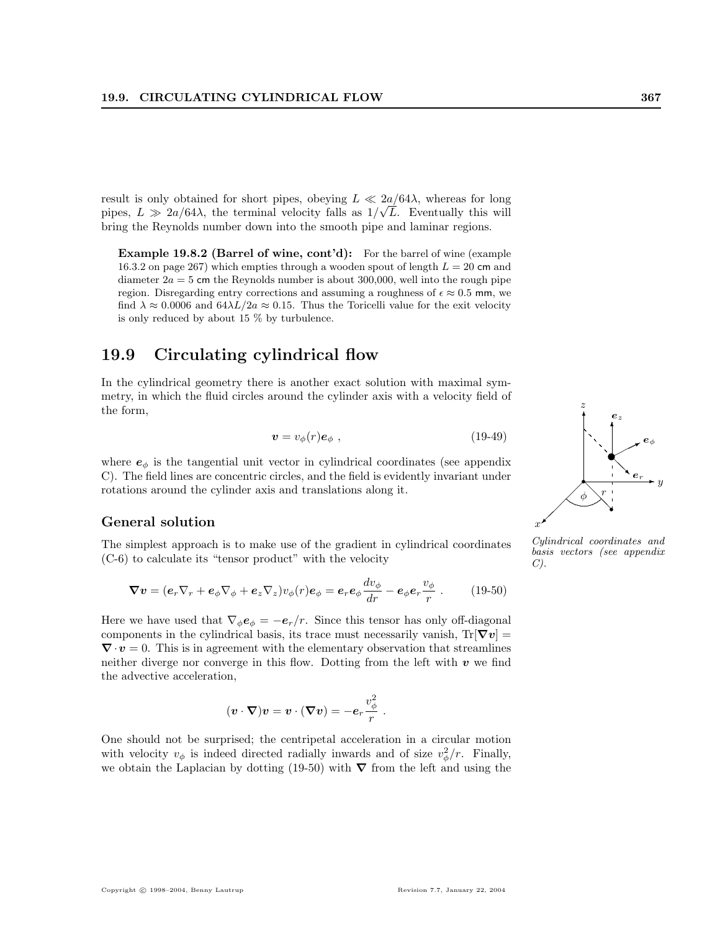result is only obtained for short pipes, obeying  $L \ll 2a/64\lambda$ , whereas for long pipes,  $L \gg 2a/64\lambda$ , the terminal velocity falls as  $1/\sqrt{L}$ . Eventually this will bring the Reynolds number down into the smooth pipe and laminar regions.

Example 19.8.2 (Barrel of wine, cont'd): For the barrel of wine (example 16.3.2 on page 267) which empties through a wooden spout of length  $L = 20$  cm and diameter  $2a = 5$  cm the Reynolds number is about 300,000, well into the rough pipe region. Disregarding entry corrections and assuming a roughness of  $\epsilon \approx 0.5$  mm, we find  $\lambda \approx 0.0006$  and  $64\lambda L/2a \approx 0.15$ . Thus the Toricelli value for the exit velocity is only reduced by about 15 % by turbulence.

# 19.9 Circulating cylindrical flow

In the cylindrical geometry there is another exact solution with maximal symmetry, in which the fluid circles around the cylinder axis with a velocity field of the form,

$$
\mathbf{v} = v_{\phi}(r)\mathbf{e}_{\phi} \tag{19-49}
$$

where  $e_{\phi}$  is the tangential unit vector in cylindrical coordinates (see appendix C). The field lines are concentric circles, and the field is evidently invariant under rotations around the cylinder axis and translations along it.

#### General solution

The simplest approach is to make use of the gradient in cylindrical coordinates (C-6) to calculate its "tensor product" with the velocity

$$
\nabla v = (e_r \nabla_r + e_\phi \nabla_\phi + e_z \nabla_z) v_\phi(r) e_\phi = e_r e_\phi \frac{dv_\phi}{dr} - e_\phi e_r \frac{v_\phi}{r} . \qquad (19-50)
$$

Here we have used that  $\nabla_{\phi} \mathbf{e}_{\phi} = -\mathbf{e}_r/r$ . Since this tensor has only off-diagonal components in the cylindrical basis, its trace must necessarily vanish,  $Tr[\nabla v] =$  $\nabla \cdot v = 0$ . This is in agreement with the elementary observation that streamlines neither diverge nor converge in this flow. Dotting from the left with  $v$  we find the advective acceleration,

$$
(\boldsymbol{v}\cdot\boldsymbol{\nabla})\boldsymbol{v}=\boldsymbol{v}\cdot(\boldsymbol{\nabla}\boldsymbol{v})=-\boldsymbol{e}_r\frac{v_\phi^2}{r}\ .
$$

One should not be surprised; the centripetal acceleration in a circular motion with velocity  $v_{\phi}$  is indeed directed radially inwards and of size  $v_{\phi}^2/r$ . Finally, we obtain the Laplacian by dotting (19-50) with  $\nabla$  from the left and using the



✻

z

✻ ez

 $e_{\phi}$ 

✟ ✟✟✯ ✉

basis vectors (see appendix  $C$ ).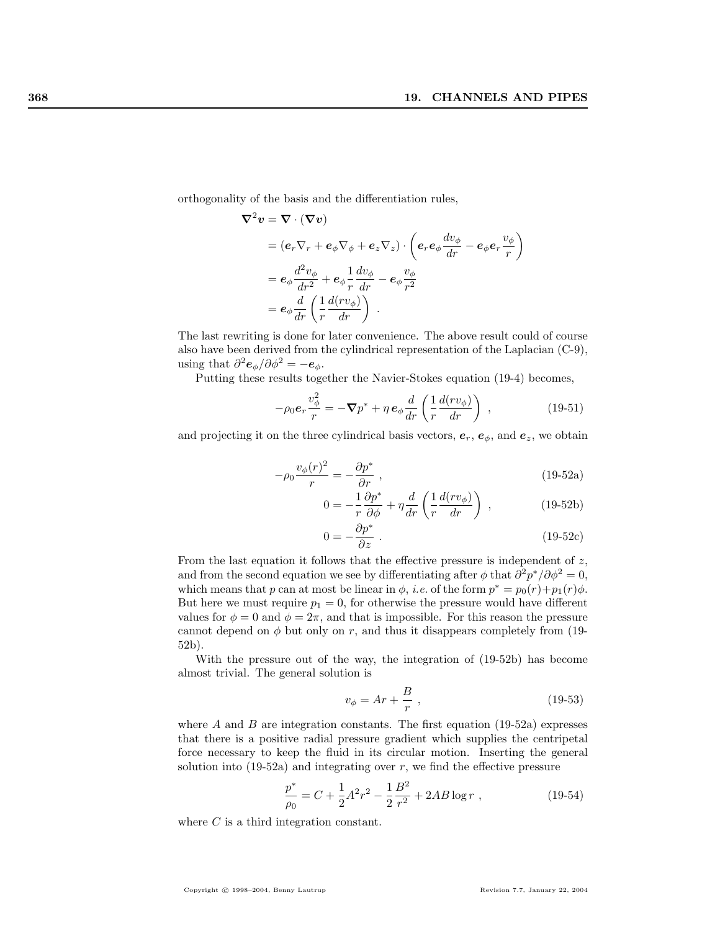orthogonality of the basis and the differentiation rules,

$$
\nabla^2 v = \nabla \cdot (\nabla v)
$$
  
=  $(e_r \nabla_r + e_\phi \nabla_\phi + e_z \nabla_z) \cdot \left( e_r e_\phi \frac{dv_\phi}{dr} - e_\phi e_r \frac{v_\phi}{r} \right)$   
=  $e_\phi \frac{d^2 v_\phi}{dr^2} + e_\phi \frac{1}{r} \frac{dv_\phi}{dr} - e_\phi \frac{v_\phi}{r^2}$   
=  $e_\phi \frac{d}{dr} \left( \frac{1}{r} \frac{d(rv_\phi)}{dr} \right)$ .

The last rewriting is done for later convenience. The above result could of course also have been derived from the cylindrical representation of the Laplacian (C-9), using that  $\partial^2 e_{\phi}/\partial \phi^2 = -e_{\phi}$ .

Putting these results together the Navier-Stokes equation (19-4) becomes,

$$
-\rho_0 e_r \frac{v_\phi^2}{r} = -\nabla p^* + \eta e_\phi \frac{d}{dr} \left(\frac{1}{r} \frac{d(rv_\phi)}{dr}\right) ,\qquad (19-51)
$$

and projecting it on the three cylindrical basis vectors,  $e_r$ ,  $e_{\phi}$ , and  $e_z$ , we obtain

$$
-\rho_0 \frac{v_\phi(r)^2}{r} = -\frac{\partial p^*}{\partial r} \,,\tag{19-52a}
$$

$$
0 = -\frac{1}{r}\frac{\partial p^*}{\partial \phi} + \eta \frac{d}{dr} \left( \frac{1}{r} \frac{d(rv_{\phi})}{dr} \right) , \qquad (19-52b)
$$

$$
0 = -\frac{\partial p^*}{\partial z} \tag{19-52c}
$$

From the last equation it follows that the effective pressure is independent of z, and from the second equation we see by differentiating after  $\phi$  that  $\partial^2 p^* / \partial \phi^2 = 0$ , which means that p can at most be linear in  $\phi$ , *i.e.* of the form  $p^* = p_0(r) + p_1(r)\phi$ . But here we must require  $p_1 = 0$ , for otherwise the pressure would have different values for  $\phi = 0$  and  $\phi = 2\pi$ , and that is impossible. For this reason the pressure cannot depend on  $\phi$  but only on r, and thus it disappears completely from (19-52b).

With the pressure out of the way, the integration of (19-52b) has become almost trivial. The general solution is

$$
v_{\phi} = Ar + \frac{B}{r} \,,\tag{19-53}
$$

where  $A$  and  $B$  are integration constants. The first equation (19-52a) expresses that there is a positive radial pressure gradient which supplies the centripetal force necessary to keep the fluid in its circular motion. Inserting the general solution into  $(19-52a)$  and integrating over r, we find the effective pressure

$$
\frac{p^*}{\rho_0} = C + \frac{1}{2}A^2r^2 - \frac{1}{2}\frac{B^2}{r^2} + 2AB\log r \tag{19-54}
$$

where C is a third integration constant.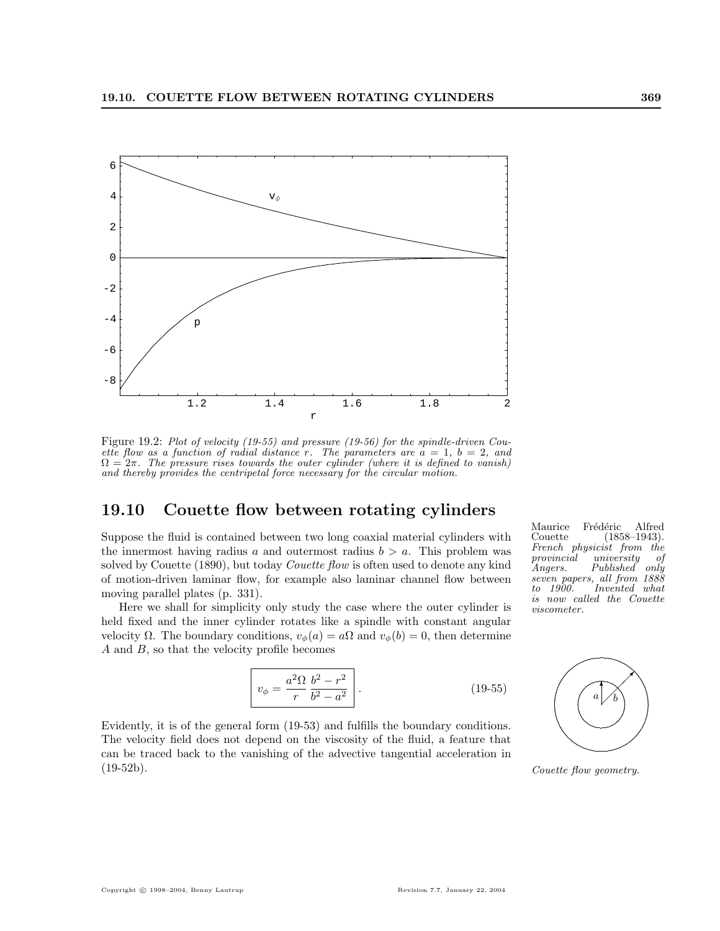

Figure 19.2: Plot of velocity (19-55) and pressure (19-56) for the spindle-driven Couette flow as a function of radial distance r. The parameters are  $\hat{a} = 1, b = 2, and$  $\Omega = 2\pi$ . The pressure rises towards the outer cylinder (where it is defined to vanish) and thereby provides the centripetal force necessary for the circular motion.

# 19.10 Couette flow between rotating cylinders

Suppose the fluid is contained between two long coaxial material cylinders with the innermost having radius a and outermost radius  $b > a$ . This problem was solved by Couette (1890), but today *Couette flow* is often used to denote any kind of motion-driven laminar flow, for example also laminar channel flow between moving parallel plates (p. 331).

Here we shall for simplicity only study the case where the outer cylinder is held fixed and the inner cylinder rotates like a spindle with constant angular velocity  $\Omega$ . The boundary conditions,  $v_{\phi}(a) = a\Omega$  and  $v_{\phi}(b) = 0$ , then determine A and B, so that the velocity profile becomes

$$
v_{\phi} = \frac{a^2 \Omega}{r} \frac{b^2 - r^2}{b^2 - a^2}.
$$
 (19-55)

Evidently, it is of the general form (19-53) and fulfills the boundary conditions. The velocity field does not depend on the viscosity of the fluid, a feature that can be traced back to the vanishing of the advective tangential acceleration in (19-52b).

Maurice Frédéric Alfred<br>Couette (1858–1943).  $(1858-1943).$ French physicist from the<br>provincial university of provincial university of<br>Angers. Published only Published only seven papers, all from 1888<br>to 1900. Invented what Invented what is now called the Couette viscometer.



Couette flow geometry.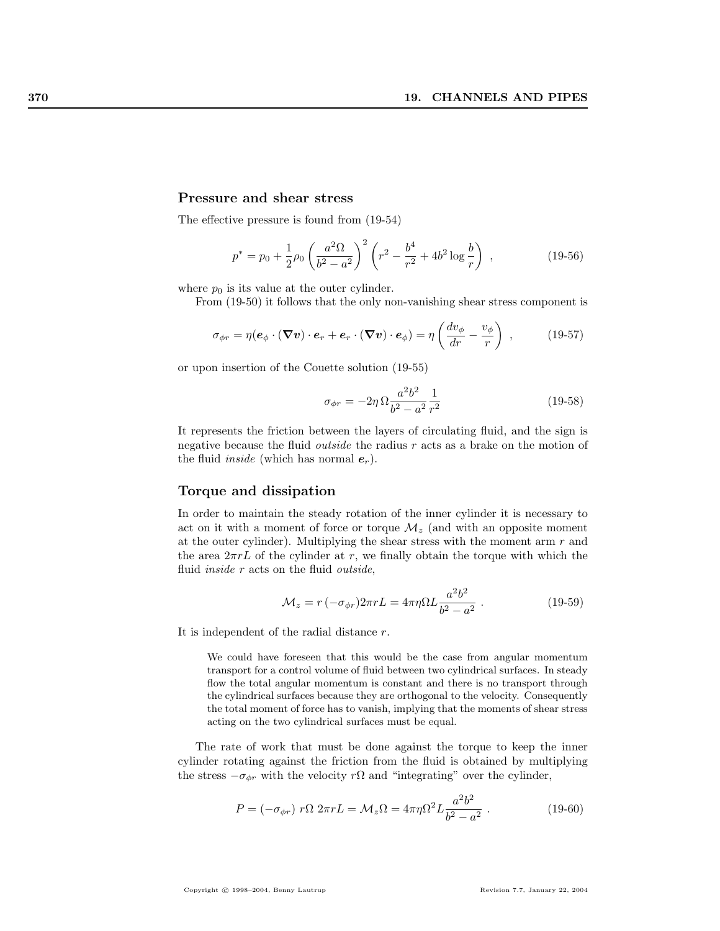#### Pressure and shear stress

The effective pressure is found from (19-54)

$$
p^* = p_0 + \frac{1}{2}\rho_0 \left(\frac{a^2\Omega}{b^2 - a^2}\right)^2 \left(r^2 - \frac{b^4}{r^2} + 4b^2 \log\frac{b}{r}\right) ,\qquad (19-56)
$$

where  $p_0$  is its value at the outer cylinder.

From (19-50) it follows that the only non-vanishing shear stress component is

$$
\sigma_{\phi r} = \eta (\boldsymbol{e}_{\phi} \cdot (\boldsymbol{\nabla} \boldsymbol{v}) \cdot \boldsymbol{e}_r + \boldsymbol{e}_r \cdot (\boldsymbol{\nabla} \boldsymbol{v}) \cdot \boldsymbol{e}_{\phi}) = \eta \left( \frac{dv_{\phi}}{dr} - \frac{v_{\phi}}{r} \right) ,\qquad(19-57)
$$

or upon insertion of the Couette solution (19-55)

$$
\sigma_{\phi r} = -2\eta \, \Omega \frac{a^2 b^2}{b^2 - a^2} \frac{1}{r^2} \tag{19-58}
$$

It represents the friction between the layers of circulating fluid, and the sign is negative because the fluid *outside* the radius  $r$  acts as a brake on the motion of the fluid *inside* (which has normal  $e_r$ ).

#### Torque and dissipation

In order to maintain the steady rotation of the inner cylinder it is necessary to act on it with a moment of force or torque  $\mathcal{M}_z$  (and with an opposite moment at the outer cylinder). Multiplying the shear stress with the moment arm  $r$  and the area  $2\pi rL$  of the cylinder at r, we finally obtain the torque with which the fluid *inside*  $r$  acts on the fluid *outside*,

$$
\mathcal{M}_z = r \left( -\sigma_{\phi r} \right) 2\pi r L = 4\pi \eta \Omega L \frac{a^2 b^2}{b^2 - a^2} \,. \tag{19-59}
$$

It is independent of the radial distance r.

We could have foreseen that this would be the case from angular momentum transport for a control volume of fluid between two cylindrical surfaces. In steady flow the total angular momentum is constant and there is no transport through the cylindrical surfaces because they are orthogonal to the velocity. Consequently the total moment of force has to vanish, implying that the moments of shear stress acting on the two cylindrical surfaces must be equal.

The rate of work that must be done against the torque to keep the inner cylinder rotating against the friction from the fluid is obtained by multiplying the stress  $-\sigma_{\phi r}$  with the velocity r $\Omega$  and "integrating" over the cylinder,

$$
P = (-\sigma_{\phi r}) r\Omega 2\pi r L = \mathcal{M}_z \Omega = 4\pi \eta \Omega^2 L \frac{a^2 b^2}{b^2 - a^2} . \qquad (19-60)
$$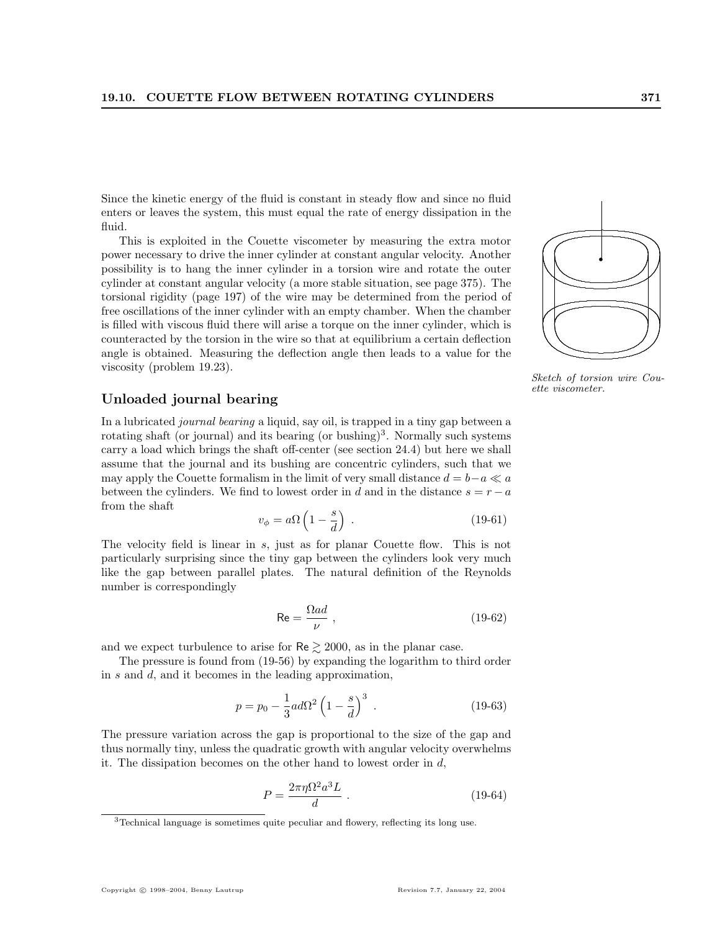Since the kinetic energy of the fluid is constant in steady flow and since no fluid enters or leaves the system, this must equal the rate of energy dissipation in the fluid.

This is exploited in the Couette viscometer by measuring the extra motor power necessary to drive the inner cylinder at constant angular velocity. Another possibility is to hang the inner cylinder in a torsion wire and rotate the outer cylinder at constant angular velocity (a more stable situation, see page 375). The torsional rigidity (page 197) of the wire may be determined from the period of free oscillations of the inner cylinder with an empty chamber. When the chamber is filled with viscous fluid there will arise a torque on the inner cylinder, which is counteracted by the torsion in the wire so that at equilibrium a certain deflection angle is obtained. Measuring the deflection angle then leads to a value for the viscosity (problem 19.23).

#### Unloaded journal bearing

In a lubricated journal bearing a liquid, say oil, is trapped in a tiny gap between a rotating shaft (or journal) and its bearing (or bushing)<sup>3</sup>. Normally such systems carry a load which brings the shaft off-center (see section 24.4) but here we shall assume that the journal and its bushing are concentric cylinders, such that we may apply the Couette formalism in the limit of very small distance  $d = b-a \ll a$ between the cylinders. We find to lowest order in d and in the distance  $s = r - a$ from the shaft  $\overline{a}$ ´

$$
v_{\phi} = a\Omega \left(1 - \frac{s}{d}\right) \tag{19-61}
$$

The velocity field is linear in s, just as for planar Couette flow. This is not particularly surprising since the tiny gap between the cylinders look very much like the gap between parallel plates. The natural definition of the Reynolds number is correspondingly

$$
\text{Re} = \frac{\Omega a d}{\nu} \,,\tag{19-62}
$$

and we expect turbulence to arise for  $\text{Re} \geq 2000$ , as in the planar case.

The pressure is found from (19-56) by expanding the logarithm to third order in s and d, and it becomes in the leading approximation,

$$
p = p_0 - \frac{1}{3}ad\Omega^2 \left(1 - \frac{s}{d}\right)^3 \tag{19-63}
$$

The pressure variation across the gap is proportional to the size of the gap and thus normally tiny, unless the quadratic growth with angular velocity overwhelms it. The dissipation becomes on the other hand to lowest order in d,

$$
P = \frac{2\pi\eta\Omega^2 a^3 L}{d} \tag{19-64}
$$

. ........................... . .................................

Sketch of torsion wire Couette viscometer.

.

<sup>3</sup>Technical language is sometimes quite peculiar and flowery, reflecting its long use.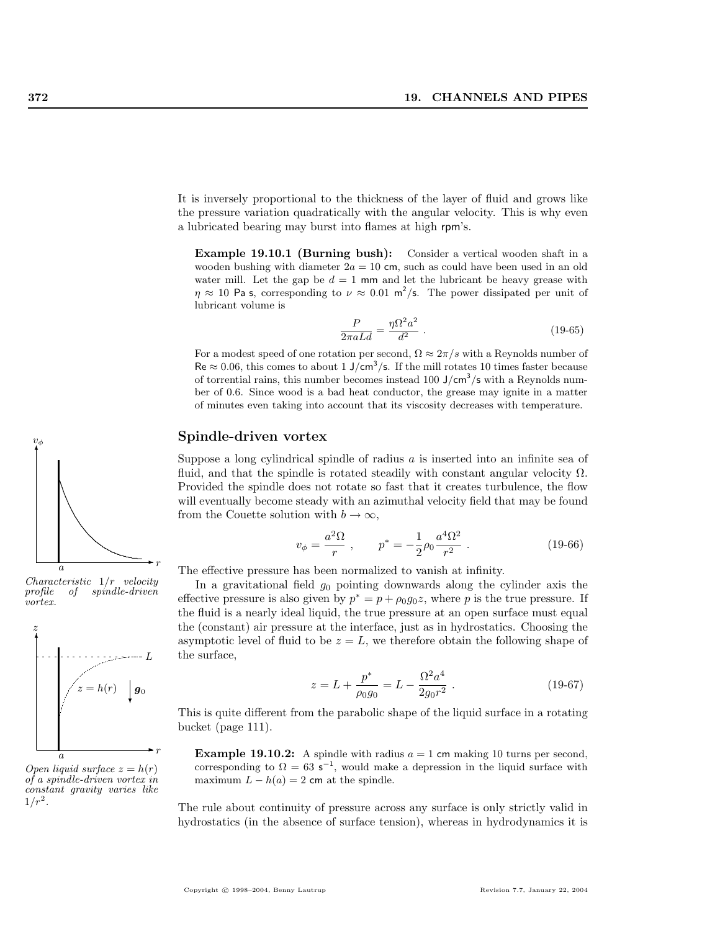It is inversely proportional to the thickness of the layer of fluid and grows like the pressure variation quadratically with the angular velocity. This is why even a lubricated bearing may burst into flames at high rpm's.

Example 19.10.1 (Burning bush): Consider a vertical wooden shaft in a wooden bushing with diameter  $2a = 10$  cm, such as could have been used in an old water mill. Let the gap be  $d = 1$  mm and let the lubricant be heavy grease with  $\eta \approx 10$  Pa s, corresponding to  $\nu \approx 0.01$  m<sup>2</sup>/s. The power dissipated per unit of lubricant volume is

$$
\frac{P}{2\pi aLd} = \frac{\eta\Omega^2 a^2}{d^2} \ . \tag{19-65}
$$

For a modest speed of one rotation per second,  $\Omega \approx 2\pi/s$  with a Reynolds number of  $\text{Re} \approx 0.06$ , this comes to about 1 J/cm<sup>3</sup>/s. If the mill rotates 10 times faster because of torrential rains, this number becomes instead 100  $J/cm<sup>3</sup>/s$  with a Reynolds number of 0.6. Since wood is a bad heat conductor, the grease may ignite in a matter of minutes even taking into account that its viscosity decreases with temperature.

#### Spindle-driven vortex

Suppose a long cylindrical spindle of radius  $\alpha$  is inserted into an infinite sea of fluid, and that the spindle is rotated steadily with constant angular velocity  $\Omega$ . Provided the spindle does not rotate so fast that it creates turbulence, the flow will eventually become steady with an azimuthal velocity field that may be found from the Couette solution with  $b \to \infty$ ,

$$
v_{\phi} = \frac{a^2 \Omega}{r} , \qquad p^* = -\frac{1}{2} \rho_0 \frac{a^4 \Omega^2}{r^2} . \tag{19-66}
$$

The effective pressure has been normalized to vanish at infinity.

In a gravitational field  $g_0$  pointing downwards along the cylinder axis the effective pressure is also given by  $p^* = p + \rho_0 g_0 z$ , where p is the true pressure. If the fluid is a nearly ideal liquid, the true pressure at an open surface must equal the (constant) air pressure at the interface, just as in hydrostatics. Choosing the asymptotic level of fluid to be  $z = L$ , we therefore obtain the following shape of the surface,

$$
z = L + \frac{p^*}{\rho_0 g_0} = L - \frac{\Omega^2 a^4}{2g_0 r^2} \ . \tag{19-67}
$$

This is quite different from the parabolic shape of the liquid surface in a rotating bucket (page 111).

**Example 19.10.2:** A spindle with radius  $a = 1$  cm making 10 turns per second, corresponding to  $\Omega = 63$  s<sup>-1</sup>, would make a depression in the liquid surface with maximum  $L - h(a) = 2$  cm at the spindle.

The rule about continuity of pressure across any surface is only strictly valid in hydrostatics (in the absence of surface tension), whereas in hydrodynamics it is



Characteristic 1/r velocity profile of spindle-driven vortex.



Open liquid surface  $z = h(r)$ of a spindle-driven vortex in constant gravity varies like  $1/r^2$ .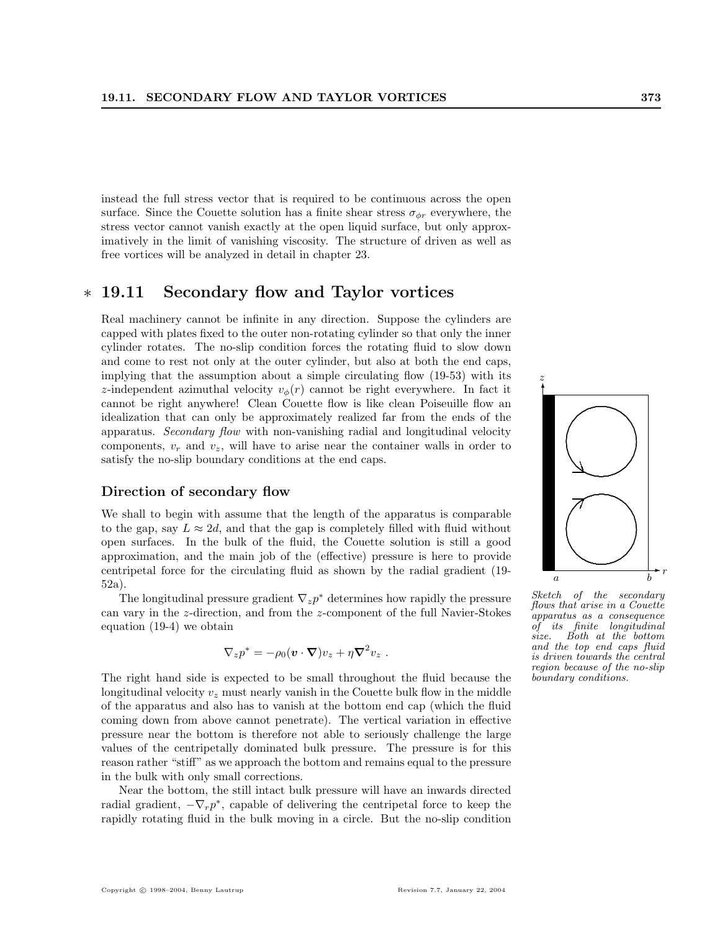instead the full stress vector that is required to be continuous across the open surface. Since the Couette solution has a finite shear stress  $\sigma_{\phi r}$  everywhere, the stress vector cannot vanish exactly at the open liquid surface, but only approximatively in the limit of vanishing viscosity. The structure of driven as well as free vortices will be analyzed in detail in chapter 23.

# ∗ 19.11 Secondary flow and Taylor vortices

Real machinery cannot be infinite in any direction. Suppose the cylinders are capped with plates fixed to the outer non-rotating cylinder so that only the inner cylinder rotates. The no-slip condition forces the rotating fluid to slow down and come to rest not only at the outer cylinder, but also at both the end caps, implying that the assumption about a simple circulating flow (19-53) with its z-independent azimuthal velocity  $v_{\phi}(r)$  cannot be right everywhere. In fact it cannot be right anywhere! Clean Couette flow is like clean Poiseuille flow an idealization that can only be approximately realized far from the ends of the apparatus. Secondary flow with non-vanishing radial and longitudinal velocity components,  $v_r$  and  $v_z$ , will have to arise near the container walls in order to satisfy the no-slip boundary conditions at the end caps.

#### Direction of secondary flow

We shall to begin with assume that the length of the apparatus is comparable to the gap, say  $L \approx 2d$ , and that the gap is completely filled with fluid without open surfaces. In the bulk of the fluid, the Couette solution is still a good approximation, and the main job of the (effective) pressure is here to provide centripetal force for the circulating fluid as shown by the radial gradient (19- 52a).

The longitudinal pressure gradient  $\nabla_z p^*$  determines how rapidly the pressure can vary in the z-direction, and from the z-component of the full Navier-Stokes equation (19-4) we obtain

$$
\nabla_z p^* = -\rho_0 (\boldsymbol{v} \cdot \boldsymbol{\nabla}) v_z + \eta \boldsymbol{\nabla}^2 v_z.
$$

The right hand side is expected to be small throughout the fluid because the longitudinal velocity  $v_z$  must nearly vanish in the Couette bulk flow in the middle of the apparatus and also has to vanish at the bottom end cap (which the fluid coming down from above cannot penetrate). The vertical variation in effective pressure near the bottom is therefore not able to seriously challenge the large values of the centripetally dominated bulk pressure. The pressure is for this reason rather "stiff" as we approach the bottom and remains equal to the pressure in the bulk with only small corrections.

Near the bottom, the still intact bulk pressure will have an inwards directed radial gradient,  $-\nabla_r p^*$ , capable of delivering the centripetal force to keep the rapidly rotating fluid in the bulk moving in a circle. But the no-slip condition



.

✻

z

flows that arise in a Couette apparatus as a consequence of its finite longitudinal size. Both at the bottom and the top end caps fluid is driven towards the central region because of the no-slip boundary conditions.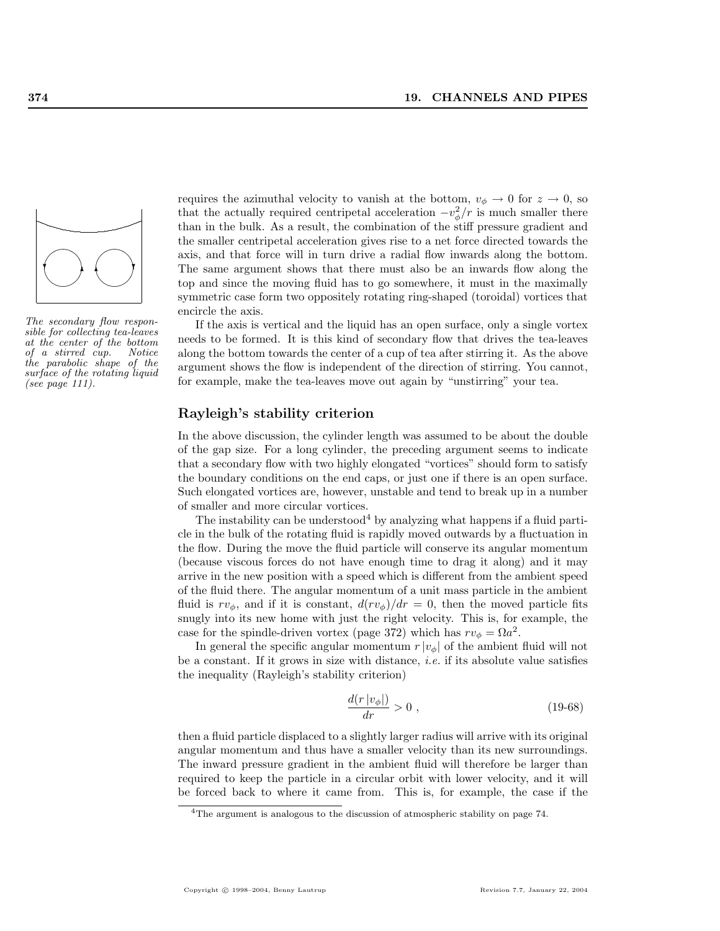

The secondary flow responsible for collecting tea-leaves at the center of the bottom of a stirred cup. Notice the parabolic shape of the surface of the rotating liquid (see page 111).

requires the azimuthal velocity to vanish at the bottom,  $v_{\phi} \rightarrow 0$  for  $z \rightarrow 0$ , so that the actually required centripetal acceleration  $-v_{\phi}^2/r$  is much smaller there than in the bulk. As a result, the combination of the stiff pressure gradient and the smaller centripetal acceleration gives rise to a net force directed towards the axis, and that force will in turn drive a radial flow inwards along the bottom. The same argument shows that there must also be an inwards flow along the top and since the moving fluid has to go somewhere, it must in the maximally symmetric case form two oppositely rotating ring-shaped (toroidal) vortices that encircle the axis.

If the axis is vertical and the liquid has an open surface, only a single vortex needs to be formed. It is this kind of secondary flow that drives the tea-leaves along the bottom towards the center of a cup of tea after stirring it. As the above argument shows the flow is independent of the direction of stirring. You cannot, for example, make the tea-leaves move out again by "unstirring" your tea.

#### Rayleigh's stability criterion

In the above discussion, the cylinder length was assumed to be about the double of the gap size. For a long cylinder, the preceding argument seems to indicate that a secondary flow with two highly elongated "vortices" should form to satisfy the boundary conditions on the end caps, or just one if there is an open surface. Such elongated vortices are, however, unstable and tend to break up in a number of smaller and more circular vortices.

The instability can be understood<sup>4</sup> by analyzing what happens if a fluid particle in the bulk of the rotating fluid is rapidly moved outwards by a fluctuation in the flow. During the move the fluid particle will conserve its angular momentum (because viscous forces do not have enough time to drag it along) and it may arrive in the new position with a speed which is different from the ambient speed of the fluid there. The angular momentum of a unit mass particle in the ambient fluid is  $rv_{\phi}$ , and if it is constant,  $d(rv_{\phi})/dr = 0$ , then the moved particle fits snugly into its new home with just the right velocity. This is, for example, the case for the spindle-driven vortex (page 372) which has  $rv_{\phi} = \Omega a^2$ .

In general the specific angular momentum  $r |v_{\phi}|$  of the ambient fluid will not be a constant. If it grows in size with distance, *i.e.* if its absolute value satisfies the inequality (Rayleigh's stability criterion)

$$
\frac{d(r|v_{\phi}|)}{dr} > 0 ,\qquad (19-68)
$$

then a fluid particle displaced to a slightly larger radius will arrive with its original angular momentum and thus have a smaller velocity than its new surroundings. The inward pressure gradient in the ambient fluid will therefore be larger than required to keep the particle in a circular orbit with lower velocity, and it will be forced back to where it came from. This is, for example, the case if the

<sup>&</sup>lt;sup>4</sup>The argument is analogous to the discussion of atmospheric stability on page 74.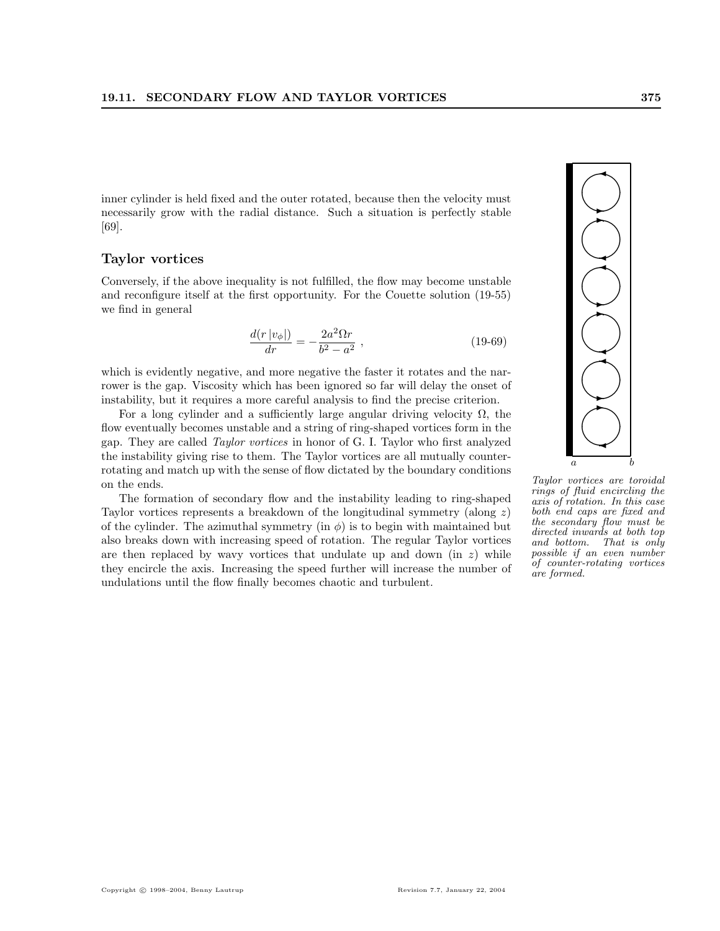inner cylinder is held fixed and the outer rotated, because then the velocity must necessarily grow with the radial distance. Such a situation is perfectly stable [69].

### Taylor vortices

Conversely, if the above inequality is not fulfilled, the flow may become unstable and reconfigure itself at the first opportunity. For the Couette solution (19-55) we find in general

$$
\frac{d(r|v_{\phi}|)}{dr} = -\frac{2a^2\Omega r}{b^2 - a^2} \,, \tag{19-69}
$$

which is evidently negative, and more negative the faster it rotates and the narrower is the gap. Viscosity which has been ignored so far will delay the onset of instability, but it requires a more careful analysis to find the precise criterion.

For a long cylinder and a sufficiently large angular driving velocity  $\Omega$ , the flow eventually becomes unstable and a string of ring-shaped vortices form in the gap. They are called Taylor vortices in honor of G. I. Taylor who first analyzed the instability giving rise to them. The Taylor vortices are all mutually counterrotating and match up with the sense of flow dictated by the boundary conditions on the ends.

The formation of secondary flow and the instability leading to ring-shaped Taylor vortices represents a breakdown of the longitudinal symmetry (along  $z$ ) of the cylinder. The azimuthal symmetry (in  $\phi$ ) is to begin with maintained but also breaks down with increasing speed of rotation. The regular Taylor vortices are then replaced by wavy vortices that undulate up and down (in  $z$ ) while they encircle the axis. Increasing the speed further will increase the number of undulations until the flow finally becomes chaotic and turbulent.



Taylor vortices are toroidal rings of fluid encircling the axis of rotation. In this case both end caps are fixed and the secondary flow must be directed inwards at both top and bottom. That is only possible if an even number of counter-rotating vortices are formed.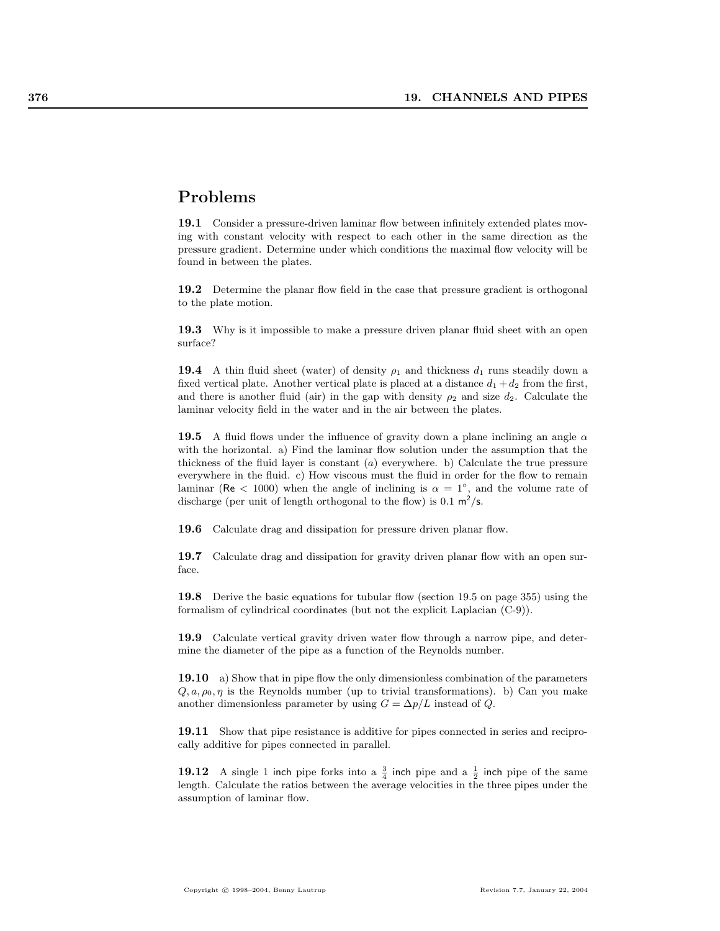# Problems

19.1 Consider a pressure-driven laminar flow between infinitely extended plates moving with constant velocity with respect to each other in the same direction as the pressure gradient. Determine under which conditions the maximal flow velocity will be found in between the plates.

19.2 Determine the planar flow field in the case that pressure gradient is orthogonal to the plate motion.

19.3 Why is it impossible to make a pressure driven planar fluid sheet with an open surface?

**19.4** A thin fluid sheet (water) of density  $\rho_1$  and thickness  $d_1$  runs steadily down a fixed vertical plate. Another vertical plate is placed at a distance  $d_1 + d_2$  from the first, and there is another fluid (air) in the gap with density  $\rho_2$  and size  $d_2$ . Calculate the laminar velocity field in the water and in the air between the plates.

19.5 A fluid flows under the influence of gravity down a plane inclining an angle  $\alpha$ with the horizontal. a) Find the laminar flow solution under the assumption that the thickness of the fluid layer is constant  $(a)$  everywhere. b) Calculate the true pressure everywhere in the fluid. c) How viscous must the fluid in order for the flow to remain laminar (Re < 1000) when the angle of inclining is  $\alpha = 1^{\circ}$ , and the volume rate of discharge (per unit of length orthogonal to the flow) is  $0.1 \text{ m}^2/\text{s}$ .

19.6 Calculate drag and dissipation for pressure driven planar flow.

19.7 Calculate drag and dissipation for gravity driven planar flow with an open surface.

19.8 Derive the basic equations for tubular flow (section 19.5 on page 355) using the formalism of cylindrical coordinates (but not the explicit Laplacian (C-9)).

19.9 Calculate vertical gravity driven water flow through a narrow pipe, and determine the diameter of the pipe as a function of the Reynolds number.

19.10 a) Show that in pipe flow the only dimensionless combination of the parameters  $Q, a, \rho_0, \eta$  is the Reynolds number (up to trivial transformations). b) Can you make another dimensionless parameter by using  $G = \Delta p/L$  instead of Q.

19.11 Show that pipe resistance is additive for pipes connected in series and reciprocally additive for pipes connected in parallel.

**19.12** A single 1 inch pipe forks into a  $\frac{3}{4}$  inch pipe and a  $\frac{1}{2}$  inch pipe of the same length. Calculate the ratios between the average velocities in the three pipes under the assumption of laminar flow.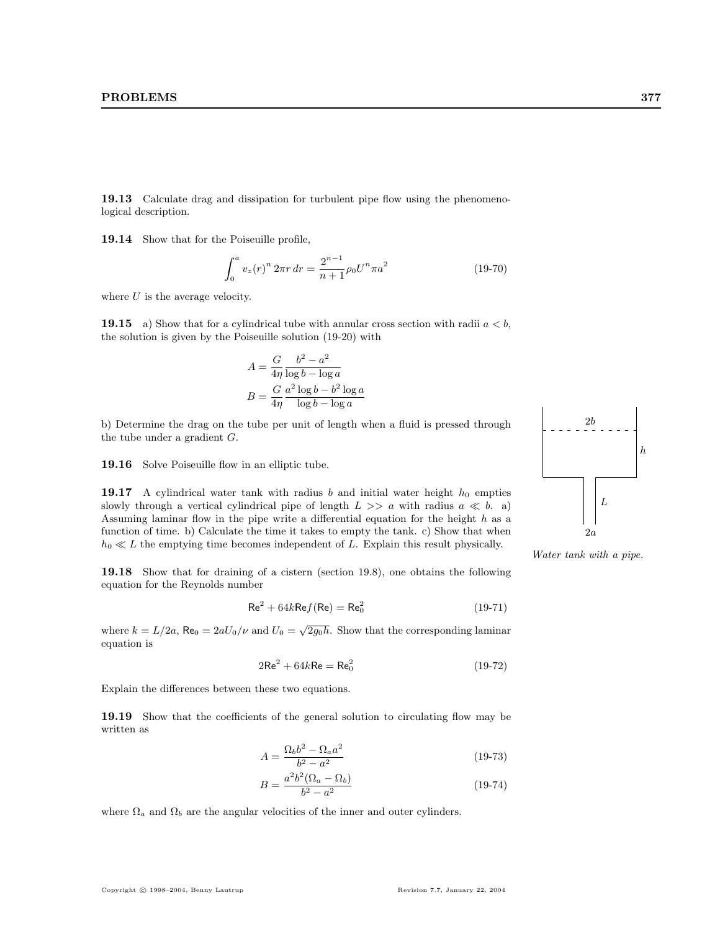19.13 Calculate drag and dissipation for turbulent pipe flow using the phenomenological description.

19.14 Show that for the Poiseuille profile,

$$
\int_0^a v_z(r)^n 2\pi r dr = \frac{2^{n-1}}{n+1} \rho_0 U^n \pi a^2 \tag{19-70}
$$

where  $U$  is the average velocity.

**19.15** a) Show that for a cylindrical tube with annular cross section with radii  $a < b$ , the solution is given by the Poiseuille solution (19-20) with

$$
A = \frac{G}{4\eta} \frac{b^2 - a^2}{\log b - \log a}
$$

$$
B = \frac{G}{4\eta} \frac{a^2 \log b - b^2 \log a}{\log b - \log a}
$$

b) Determine the drag on the tube per unit of length when a fluid is pressed through the tube under a gradient G.

19.16 Solve Poiseuille flow in an elliptic tube.

19.17 A cylindrical water tank with radius b and initial water height  $h_0$  empties slowly through a vertical cylindrical pipe of length  $L \gg a$  with radius  $a \ll b$ . a) Assuming laminar flow in the pipe write a differential equation for the height  $h$  as a function of time. b) Calculate the time it takes to empty the tank. c) Show that when  $h_0 \ll L$  the emptying time becomes independent of L. Explain this result physically.

19.18 Show that for draining of a cistern (section 19.8), one obtains the following equation for the Reynolds number

$$
Re2 + 64kRef(Re) = Re02
$$
 (19-71)

where  $k = L/2a$ ,  $\text{Re}_0 = 2aU_0/\nu$  and  $U_0 = \sqrt{2g_0h}$ . Show that the corresponding laminar equation is

$$
2\text{Re}^2 + 64k\text{Re} = \text{Re}_0^2 \tag{19-72}
$$

Explain the differences between these two equations.

19.19 Show that the coefficients of the general solution to circulating flow may be written as

$$
A = \frac{\Omega_b b^2 - \Omega_a a^2}{b^2 - a^2} \tag{19-73}
$$

$$
B = \frac{a^2 b^2 (\Omega_a - \Omega_b)}{b^2 - a^2}
$$
 (19-74)

where  $\Omega_a$  and  $\Omega_b$  are the angular velocities of the inner and outer cylinders.



Water tank with a pipe.